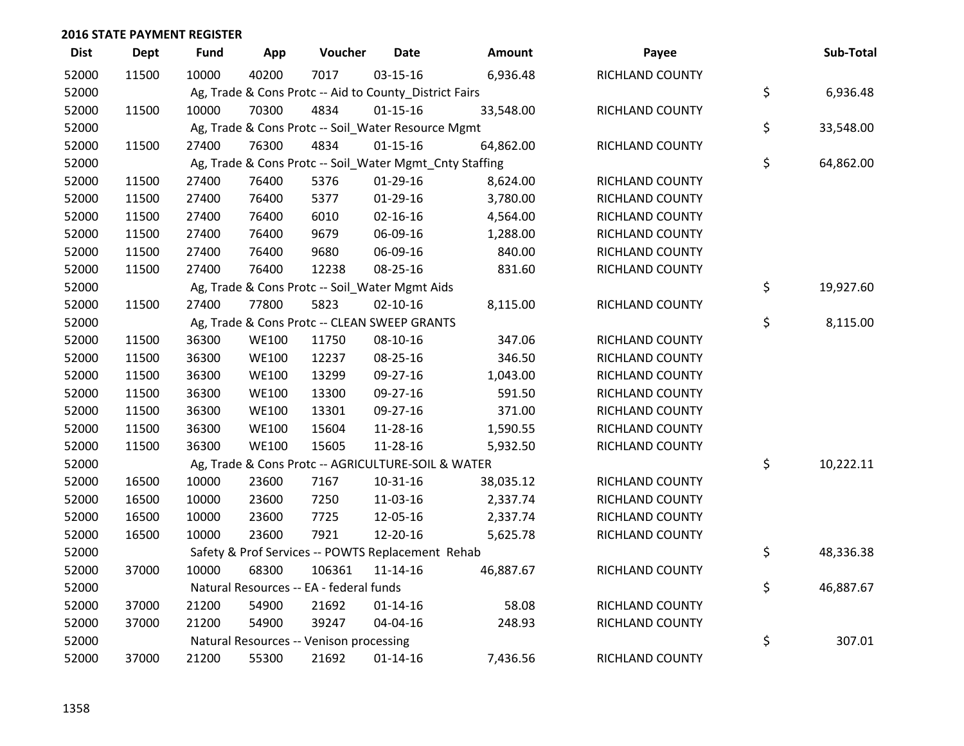| <b>Dist</b> | <b>Dept</b> | <b>Fund</b> | App          | Voucher                                                 | <b>Date</b>    | <b>Amount</b> | Payee                  | Sub-Total       |
|-------------|-------------|-------------|--------------|---------------------------------------------------------|----------------|---------------|------------------------|-----------------|
| 52000       | 11500       | 10000       | 40200        | 7017                                                    | 03-15-16       | 6,936.48      | RICHLAND COUNTY        |                 |
| 52000       |             |             |              | Ag, Trade & Cons Protc -- Aid to County_District Fairs  |                |               |                        | \$<br>6,936.48  |
| 52000       | 11500       | 10000       | 70300        | 4834                                                    | $01 - 15 - 16$ | 33,548.00     | RICHLAND COUNTY        |                 |
| 52000       |             |             |              | Ag, Trade & Cons Protc -- Soil_Water Resource Mgmt      |                |               |                        | \$<br>33,548.00 |
| 52000       | 11500       | 27400       | 76300        | 4834                                                    | $01 - 15 - 16$ | 64,862.00     | RICHLAND COUNTY        |                 |
| 52000       |             |             |              | Ag, Trade & Cons Protc -- Soil_Water Mgmt_Cnty Staffing |                |               |                        | \$<br>64,862.00 |
| 52000       | 11500       | 27400       | 76400        | 5376                                                    | $01-29-16$     | 8,624.00      | RICHLAND COUNTY        |                 |
| 52000       | 11500       | 27400       | 76400        | 5377                                                    | $01-29-16$     | 3,780.00      | RICHLAND COUNTY        |                 |
| 52000       | 11500       | 27400       | 76400        | 6010                                                    | 02-16-16       | 4,564.00      | RICHLAND COUNTY        |                 |
| 52000       | 11500       | 27400       | 76400        | 9679                                                    | 06-09-16       | 1,288.00      | RICHLAND COUNTY        |                 |
| 52000       | 11500       | 27400       | 76400        | 9680                                                    | 06-09-16       | 840.00        | RICHLAND COUNTY        |                 |
| 52000       | 11500       | 27400       | 76400        | 12238                                                   | 08-25-16       | 831.60        | RICHLAND COUNTY        |                 |
| 52000       |             |             |              | Ag, Trade & Cons Protc -- Soil_Water Mgmt Aids          |                |               |                        | \$<br>19,927.60 |
| 52000       | 11500       | 27400       | 77800        | 5823                                                    | $02 - 10 - 16$ | 8,115.00      | RICHLAND COUNTY        |                 |
| 52000       |             |             |              | Ag, Trade & Cons Protc -- CLEAN SWEEP GRANTS            |                |               |                        | \$<br>8,115.00  |
| 52000       | 11500       | 36300       | <b>WE100</b> | 11750                                                   | 08-10-16       | 347.06        | <b>RICHLAND COUNTY</b> |                 |
| 52000       | 11500       | 36300       | <b>WE100</b> | 12237                                                   | 08-25-16       | 346.50        | RICHLAND COUNTY        |                 |
| 52000       | 11500       | 36300       | <b>WE100</b> | 13299                                                   | 09-27-16       | 1,043.00      | RICHLAND COUNTY        |                 |
| 52000       | 11500       | 36300       | <b>WE100</b> | 13300                                                   | 09-27-16       | 591.50        | RICHLAND COUNTY        |                 |
| 52000       | 11500       | 36300       | <b>WE100</b> | 13301                                                   | 09-27-16       | 371.00        | RICHLAND COUNTY        |                 |
| 52000       | 11500       | 36300       | <b>WE100</b> | 15604                                                   | 11-28-16       | 1,590.55      | RICHLAND COUNTY        |                 |
| 52000       | 11500       | 36300       | <b>WE100</b> | 15605                                                   | 11-28-16       | 5,932.50      | RICHLAND COUNTY        |                 |
| 52000       |             |             |              | Ag, Trade & Cons Protc -- AGRICULTURE-SOIL & WATER      |                |               |                        | \$<br>10,222.11 |
| 52000       | 16500       | 10000       | 23600        | 7167                                                    | 10-31-16       | 38,035.12     | RICHLAND COUNTY        |                 |
| 52000       | 16500       | 10000       | 23600        | 7250                                                    | 11-03-16       | 2,337.74      | <b>RICHLAND COUNTY</b> |                 |
| 52000       | 16500       | 10000       | 23600        | 7725                                                    | 12-05-16       | 2,337.74      | RICHLAND COUNTY        |                 |
| 52000       | 16500       | 10000       | 23600        | 7921                                                    | 12-20-16       | 5,625.78      | RICHLAND COUNTY        |                 |
| 52000       |             |             |              | Safety & Prof Services -- POWTS Replacement Rehab       |                |               |                        | \$<br>48,336.38 |
| 52000       | 37000       | 10000       | 68300        | 106361                                                  | 11-14-16       | 46,887.67     | RICHLAND COUNTY        |                 |
| 52000       |             |             |              | Natural Resources -- EA - federal funds                 |                |               |                        | \$<br>46,887.67 |
| 52000       | 37000       | 21200       | 54900        | 21692                                                   | 01-14-16       | 58.08         | RICHLAND COUNTY        |                 |
| 52000       | 37000       | 21200       | 54900        | 39247                                                   | 04-04-16       | 248.93        | RICHLAND COUNTY        |                 |
| 52000       |             |             |              | Natural Resources -- Venison processing                 |                |               |                        | \$<br>307.01    |
| 52000       | 37000       | 21200       | 55300        | 21692                                                   | $01 - 14 - 16$ | 7,436.56      | RICHLAND COUNTY        |                 |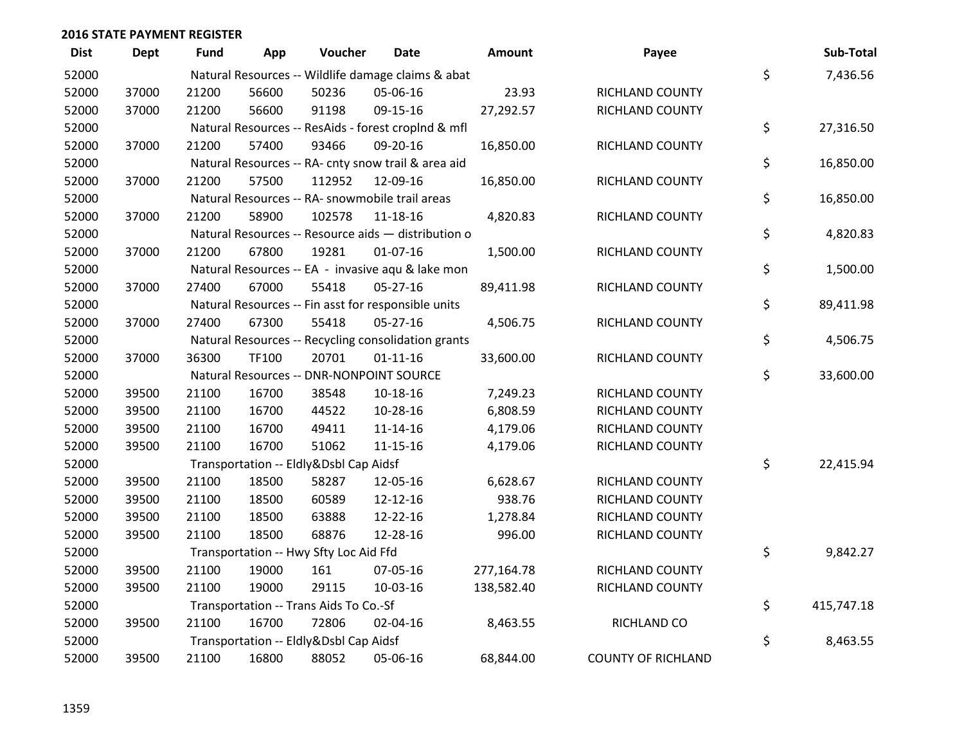| <b>Dist</b> | Dept  | <b>Fund</b> | App   | Voucher                                | Date                                                | Amount     | Payee                     | Sub-Total        |
|-------------|-------|-------------|-------|----------------------------------------|-----------------------------------------------------|------------|---------------------------|------------------|
| 52000       |       |             |       |                                        | Natural Resources -- Wildlife damage claims & abat  |            |                           | \$<br>7,436.56   |
| 52000       | 37000 | 21200       | 56600 | 50236                                  | 05-06-16                                            | 23.93      | RICHLAND COUNTY           |                  |
| 52000       | 37000 | 21200       | 56600 | 91198                                  | 09-15-16                                            | 27,292.57  | RICHLAND COUNTY           |                  |
| 52000       |       |             |       |                                        | Natural Resources -- ResAids - forest croplnd & mfl |            |                           | \$<br>27,316.50  |
| 52000       | 37000 | 21200       | 57400 | 93466                                  | 09-20-16                                            | 16,850.00  | RICHLAND COUNTY           |                  |
| 52000       |       |             |       |                                        | Natural Resources -- RA- cnty snow trail & area aid |            |                           | \$<br>16,850.00  |
| 52000       | 37000 | 21200       | 57500 | 112952                                 | 12-09-16                                            | 16,850.00  | RICHLAND COUNTY           |                  |
| 52000       |       |             |       |                                        | Natural Resources -- RA- snowmobile trail areas     |            |                           | \$<br>16,850.00  |
| 52000       | 37000 | 21200       | 58900 | 102578                                 | 11-18-16                                            | 4,820.83   | RICHLAND COUNTY           |                  |
| 52000       |       |             |       |                                        | Natural Resources -- Resource aids - distribution o |            |                           | \$<br>4,820.83   |
| 52000       | 37000 | 21200       | 67800 | 19281                                  | $01-07-16$                                          | 1,500.00   | RICHLAND COUNTY           |                  |
| 52000       |       |             |       |                                        | Natural Resources -- EA - invasive aqu & lake mon   |            |                           | \$<br>1,500.00   |
| 52000       | 37000 | 27400       | 67000 | 55418                                  | $05 - 27 - 16$                                      | 89,411.98  | RICHLAND COUNTY           |                  |
| 52000       |       |             |       |                                        | Natural Resources -- Fin asst for responsible units |            |                           | \$<br>89,411.98  |
| 52000       | 37000 | 27400       | 67300 | 55418                                  | $05 - 27 - 16$                                      | 4,506.75   | RICHLAND COUNTY           |                  |
| 52000       |       |             |       |                                        | Natural Resources -- Recycling consolidation grants |            |                           | \$<br>4,506.75   |
| 52000       | 37000 | 36300       | TF100 | 20701                                  | $01 - 11 - 16$                                      | 33,600.00  | RICHLAND COUNTY           |                  |
| 52000       |       |             |       |                                        | Natural Resources -- DNR-NONPOINT SOURCE            |            |                           | \$<br>33,600.00  |
| 52000       | 39500 | 21100       | 16700 | 38548                                  | $10 - 18 - 16$                                      | 7,249.23   | RICHLAND COUNTY           |                  |
| 52000       | 39500 | 21100       | 16700 | 44522                                  | 10-28-16                                            | 6,808.59   | RICHLAND COUNTY           |                  |
| 52000       | 39500 | 21100       | 16700 | 49411                                  | $11 - 14 - 16$                                      | 4,179.06   | RICHLAND COUNTY           |                  |
| 52000       | 39500 | 21100       | 16700 | 51062                                  | $11 - 15 - 16$                                      | 4,179.06   | RICHLAND COUNTY           |                  |
| 52000       |       |             |       | Transportation -- Eldly&Dsbl Cap Aidsf |                                                     |            |                           | \$<br>22,415.94  |
| 52000       | 39500 | 21100       | 18500 | 58287                                  | 12-05-16                                            | 6,628.67   | RICHLAND COUNTY           |                  |
| 52000       | 39500 | 21100       | 18500 | 60589                                  | 12-12-16                                            | 938.76     | RICHLAND COUNTY           |                  |
| 52000       | 39500 | 21100       | 18500 | 63888                                  | 12-22-16                                            | 1,278.84   | RICHLAND COUNTY           |                  |
| 52000       | 39500 | 21100       | 18500 | 68876                                  | 12-28-16                                            | 996.00     | RICHLAND COUNTY           |                  |
| 52000       |       |             |       | Transportation -- Hwy Sfty Loc Aid Ffd |                                                     |            |                           | \$<br>9,842.27   |
| 52000       | 39500 | 21100       | 19000 | 161                                    | 07-05-16                                            | 277,164.78 | RICHLAND COUNTY           |                  |
| 52000       | 39500 | 21100       | 19000 | 29115                                  | 10-03-16                                            | 138,582.40 | RICHLAND COUNTY           |                  |
| 52000       |       |             |       | Transportation -- Trans Aids To Co.-Sf |                                                     |            |                           | \$<br>415,747.18 |
| 52000       | 39500 | 21100       | 16700 | 72806                                  | 02-04-16                                            | 8,463.55   | RICHLAND CO               |                  |
| 52000       |       |             |       | Transportation -- Eldly&Dsbl Cap Aidsf |                                                     |            |                           | \$<br>8,463.55   |
| 52000       | 39500 | 21100       | 16800 | 88052                                  | 05-06-16                                            | 68,844.00  | <b>COUNTY OF RICHLAND</b> |                  |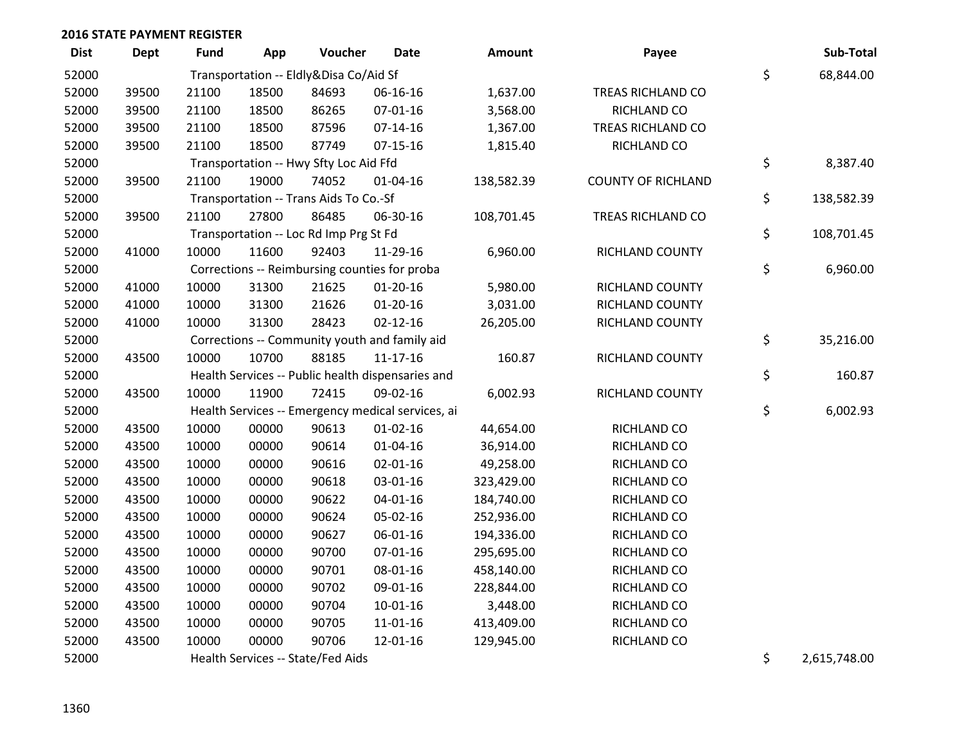| <b>Dist</b> | Dept  | <b>Fund</b> | App   | Voucher                                           | <b>Date</b>    | Amount     | Payee                     | Sub-Total          |
|-------------|-------|-------------|-------|---------------------------------------------------|----------------|------------|---------------------------|--------------------|
| 52000       |       |             |       | Transportation -- Eldly&Disa Co/Aid Sf            |                |            |                           | \$<br>68,844.00    |
| 52000       | 39500 | 21100       | 18500 | 84693                                             | 06-16-16       | 1,637.00   | TREAS RICHLAND CO         |                    |
| 52000       | 39500 | 21100       | 18500 | 86265                                             | 07-01-16       | 3,568.00   | RICHLAND CO               |                    |
| 52000       | 39500 | 21100       | 18500 | 87596                                             | $07-14-16$     | 1,367.00   | TREAS RICHLAND CO         |                    |
| 52000       | 39500 | 21100       | 18500 | 87749                                             | $07-15-16$     | 1,815.40   | RICHLAND CO               |                    |
| 52000       |       |             |       | Transportation -- Hwy Sfty Loc Aid Ffd            |                |            |                           | \$<br>8,387.40     |
| 52000       | 39500 | 21100       | 19000 | 74052                                             | $01 - 04 - 16$ | 138,582.39 | <b>COUNTY OF RICHLAND</b> |                    |
| 52000       |       |             |       | Transportation -- Trans Aids To Co.-Sf            |                |            |                           | \$<br>138,582.39   |
| 52000       | 39500 | 21100       | 27800 | 86485                                             | 06-30-16       | 108,701.45 | TREAS RICHLAND CO         |                    |
| 52000       |       |             |       | Transportation -- Loc Rd Imp Prg St Fd            |                |            |                           | \$<br>108,701.45   |
| 52000       | 41000 | 10000       | 11600 | 92403                                             | 11-29-16       | 6,960.00   | RICHLAND COUNTY           |                    |
| 52000       |       |             |       | Corrections -- Reimbursing counties for proba     |                |            |                           | \$<br>6,960.00     |
| 52000       | 41000 | 10000       | 31300 | 21625                                             | $01-20-16$     | 5,980.00   | <b>RICHLAND COUNTY</b>    |                    |
| 52000       | 41000 | 10000       | 31300 | 21626                                             | $01 - 20 - 16$ | 3,031.00   | RICHLAND COUNTY           |                    |
| 52000       | 41000 | 10000       | 31300 | 28423                                             | $02 - 12 - 16$ | 26,205.00  | RICHLAND COUNTY           |                    |
| 52000       |       |             |       | Corrections -- Community youth and family aid     |                |            |                           | \$<br>35,216.00    |
| 52000       | 43500 | 10000       | 10700 | 88185                                             | $11 - 17 - 16$ | 160.87     | RICHLAND COUNTY           |                    |
| 52000       |       |             |       | Health Services -- Public health dispensaries and |                |            |                           | \$<br>160.87       |
| 52000       | 43500 | 10000       | 11900 | 72415                                             | 09-02-16       | 6,002.93   | RICHLAND COUNTY           |                    |
| 52000       |       |             |       | Health Services -- Emergency medical services, ai |                |            |                           | \$<br>6,002.93     |
| 52000       | 43500 | 10000       | 00000 | 90613                                             | $01 - 02 - 16$ | 44,654.00  | RICHLAND CO               |                    |
| 52000       | 43500 | 10000       | 00000 | 90614                                             | $01 - 04 - 16$ | 36,914.00  | RICHLAND CO               |                    |
| 52000       | 43500 | 10000       | 00000 | 90616                                             | $02 - 01 - 16$ | 49,258.00  | RICHLAND CO               |                    |
| 52000       | 43500 | 10000       | 00000 | 90618                                             | 03-01-16       | 323,429.00 | RICHLAND CO               |                    |
| 52000       | 43500 | 10000       | 00000 | 90622                                             | 04-01-16       | 184,740.00 | RICHLAND CO               |                    |
| 52000       | 43500 | 10000       | 00000 | 90624                                             | 05-02-16       | 252,936.00 | RICHLAND CO               |                    |
| 52000       | 43500 | 10000       | 00000 | 90627                                             | 06-01-16       | 194,336.00 | RICHLAND CO               |                    |
| 52000       | 43500 | 10000       | 00000 | 90700                                             | $07 - 01 - 16$ | 295,695.00 | RICHLAND CO               |                    |
| 52000       | 43500 | 10000       | 00000 | 90701                                             | 08-01-16       | 458,140.00 | RICHLAND CO               |                    |
| 52000       | 43500 | 10000       | 00000 | 90702                                             | 09-01-16       | 228,844.00 | RICHLAND CO               |                    |
| 52000       | 43500 | 10000       | 00000 | 90704                                             | $10 - 01 - 16$ | 3,448.00   | RICHLAND CO               |                    |
| 52000       | 43500 | 10000       | 00000 | 90705                                             | 11-01-16       | 413,409.00 | RICHLAND CO               |                    |
| 52000       | 43500 | 10000       | 00000 | 90706                                             | 12-01-16       | 129,945.00 | RICHLAND CO               |                    |
| 52000       |       |             |       | Health Services -- State/Fed Aids                 |                |            |                           | \$<br>2,615,748.00 |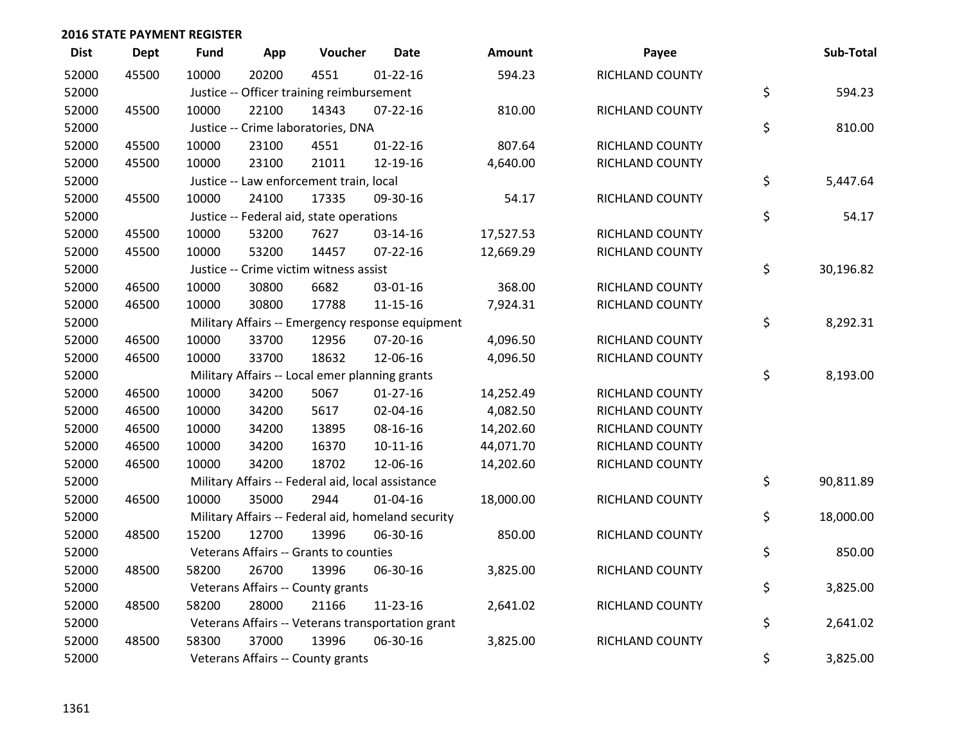| <b>Dist</b> | <b>Dept</b> | <b>Fund</b> | App   | Voucher                                           | <b>Date</b>                                        | Amount    | Payee           | Sub-Total       |
|-------------|-------------|-------------|-------|---------------------------------------------------|----------------------------------------------------|-----------|-----------------|-----------------|
| 52000       | 45500       | 10000       | 20200 | 4551                                              | $01 - 22 - 16$                                     | 594.23    | RICHLAND COUNTY |                 |
| 52000       |             |             |       | Justice -- Officer training reimbursement         |                                                    |           |                 | \$<br>594.23    |
| 52000       | 45500       | 10000       | 22100 | 14343                                             | $07 - 22 - 16$                                     | 810.00    | RICHLAND COUNTY |                 |
| 52000       |             |             |       | Justice -- Crime laboratories, DNA                |                                                    |           |                 | \$<br>810.00    |
| 52000       | 45500       | 10000       | 23100 | 4551                                              | $01 - 22 - 16$                                     | 807.64    | RICHLAND COUNTY |                 |
| 52000       | 45500       | 10000       | 23100 | 21011                                             | 12-19-16                                           | 4,640.00  | RICHLAND COUNTY |                 |
| 52000       |             |             |       | Justice -- Law enforcement train, local           |                                                    |           |                 | \$<br>5,447.64  |
| 52000       | 45500       | 10000       | 24100 | 17335                                             | 09-30-16                                           | 54.17     | RICHLAND COUNTY |                 |
| 52000       |             |             |       | Justice -- Federal aid, state operations          |                                                    |           |                 | \$<br>54.17     |
| 52000       | 45500       | 10000       | 53200 | 7627                                              | 03-14-16                                           | 17,527.53 | RICHLAND COUNTY |                 |
| 52000       | 45500       | 10000       | 53200 | 14457                                             | 07-22-16                                           | 12,669.29 | RICHLAND COUNTY |                 |
| 52000       |             |             |       | Justice -- Crime victim witness assist            |                                                    |           |                 | \$<br>30,196.82 |
| 52000       | 46500       | 10000       | 30800 | 6682                                              | 03-01-16                                           | 368.00    | RICHLAND COUNTY |                 |
| 52000       | 46500       | 10000       | 30800 | 17788                                             | $11 - 15 - 16$                                     | 7,924.31  | RICHLAND COUNTY |                 |
| 52000       |             |             |       |                                                   | Military Affairs -- Emergency response equipment   |           |                 | \$<br>8,292.31  |
| 52000       | 46500       | 10000       | 33700 | 12956                                             | 07-20-16                                           | 4,096.50  | RICHLAND COUNTY |                 |
| 52000       | 46500       | 10000       | 33700 | 18632                                             | 12-06-16                                           | 4,096.50  | RICHLAND COUNTY |                 |
| 52000       |             |             |       | Military Affairs -- Local emer planning grants    |                                                    |           |                 | \$<br>8,193.00  |
| 52000       | 46500       | 10000       | 34200 | 5067                                              | 01-27-16                                           | 14,252.49 | RICHLAND COUNTY |                 |
| 52000       | 46500       | 10000       | 34200 | 5617                                              | 02-04-16                                           | 4,082.50  | RICHLAND COUNTY |                 |
| 52000       | 46500       | 10000       | 34200 | 13895                                             | 08-16-16                                           | 14,202.60 | RICHLAND COUNTY |                 |
| 52000       | 46500       | 10000       | 34200 | 16370                                             | $10 - 11 - 16$                                     | 44,071.70 | RICHLAND COUNTY |                 |
| 52000       | 46500       | 10000       | 34200 | 18702                                             | 12-06-16                                           | 14,202.60 | RICHLAND COUNTY |                 |
| 52000       |             |             |       | Military Affairs -- Federal aid, local assistance |                                                    |           |                 | \$<br>90,811.89 |
| 52000       | 46500       | 10000       | 35000 | 2944                                              | $01 - 04 - 16$                                     | 18,000.00 | RICHLAND COUNTY |                 |
| 52000       |             |             |       |                                                   | Military Affairs -- Federal aid, homeland security |           |                 | \$<br>18,000.00 |
| 52000       | 48500       | 15200       | 12700 | 13996                                             | 06-30-16                                           | 850.00    | RICHLAND COUNTY |                 |
| 52000       |             |             |       | Veterans Affairs -- Grants to counties            |                                                    |           |                 | \$<br>850.00    |
| 52000       | 48500       | 58200       | 26700 | 13996                                             | 06-30-16                                           | 3,825.00  | RICHLAND COUNTY |                 |
| 52000       |             |             |       | Veterans Affairs -- County grants                 |                                                    |           |                 | \$<br>3,825.00  |
| 52000       | 48500       | 58200       | 28000 | 21166                                             | 11-23-16                                           | 2,641.02  | RICHLAND COUNTY |                 |
| 52000       |             |             |       |                                                   | Veterans Affairs -- Veterans transportation grant  |           |                 | \$<br>2,641.02  |
| 52000       | 48500       | 58300       | 37000 | 13996                                             | 06-30-16                                           | 3,825.00  | RICHLAND COUNTY |                 |
| 52000       |             |             |       | Veterans Affairs -- County grants                 |                                                    |           |                 | \$<br>3,825.00  |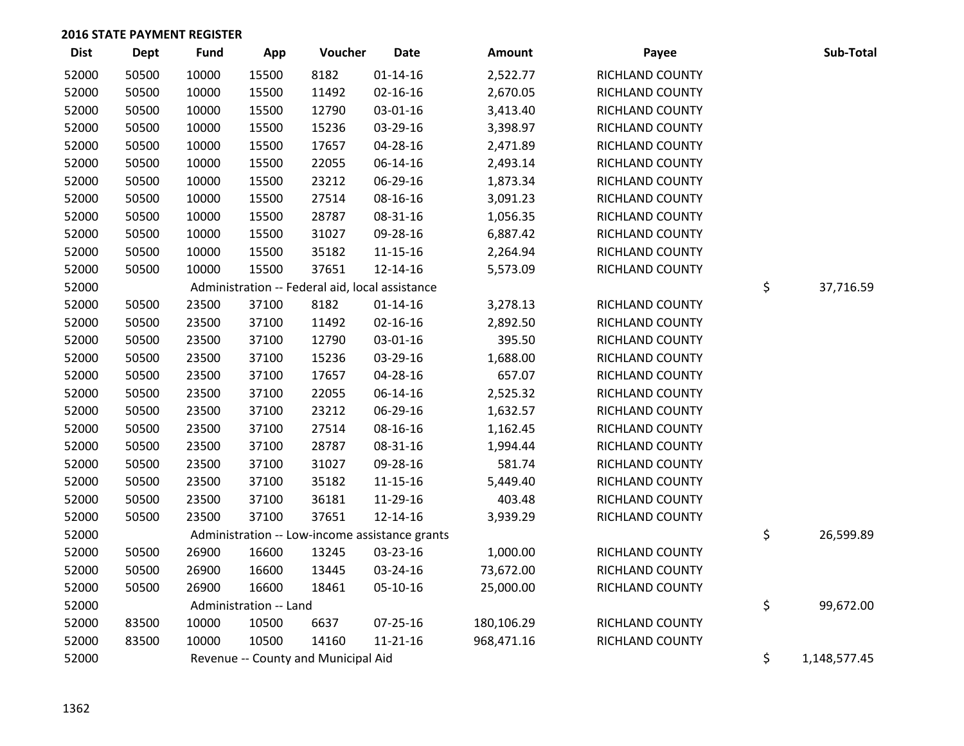| <b>Dist</b> | <b>Dept</b> | <b>Fund</b> | App                    | Voucher                                         | <b>Date</b>                                    | Amount     | Payee           | Sub-Total          |
|-------------|-------------|-------------|------------------------|-------------------------------------------------|------------------------------------------------|------------|-----------------|--------------------|
| 52000       | 50500       | 10000       | 15500                  | 8182                                            | $01 - 14 - 16$                                 | 2,522.77   | RICHLAND COUNTY |                    |
| 52000       | 50500       | 10000       | 15500                  | 11492                                           | $02 - 16 - 16$                                 | 2,670.05   | RICHLAND COUNTY |                    |
| 52000       | 50500       | 10000       | 15500                  | 12790                                           | 03-01-16                                       | 3,413.40   | RICHLAND COUNTY |                    |
| 52000       | 50500       | 10000       | 15500                  | 15236                                           | 03-29-16                                       | 3,398.97   | RICHLAND COUNTY |                    |
| 52000       | 50500       | 10000       | 15500                  | 17657                                           | 04-28-16                                       | 2,471.89   | RICHLAND COUNTY |                    |
| 52000       | 50500       | 10000       | 15500                  | 22055                                           | 06-14-16                                       | 2,493.14   | RICHLAND COUNTY |                    |
| 52000       | 50500       | 10000       | 15500                  | 23212                                           | 06-29-16                                       | 1,873.34   | RICHLAND COUNTY |                    |
| 52000       | 50500       | 10000       | 15500                  | 27514                                           | 08-16-16                                       | 3,091.23   | RICHLAND COUNTY |                    |
| 52000       | 50500       | 10000       | 15500                  | 28787                                           | 08-31-16                                       | 1,056.35   | RICHLAND COUNTY |                    |
| 52000       | 50500       | 10000       | 15500                  | 31027                                           | 09-28-16                                       | 6,887.42   | RICHLAND COUNTY |                    |
| 52000       | 50500       | 10000       | 15500                  | 35182                                           | 11-15-16                                       | 2,264.94   | RICHLAND COUNTY |                    |
| 52000       | 50500       | 10000       | 15500                  | 37651                                           | 12-14-16                                       | 5,573.09   | RICHLAND COUNTY |                    |
| 52000       |             |             |                        | Administration -- Federal aid, local assistance |                                                |            |                 | \$<br>37,716.59    |
| 52000       | 50500       | 23500       | 37100                  | 8182                                            | $01 - 14 - 16$                                 | 3,278.13   | RICHLAND COUNTY |                    |
| 52000       | 50500       | 23500       | 37100                  | 11492                                           | $02 - 16 - 16$                                 | 2,892.50   | RICHLAND COUNTY |                    |
| 52000       | 50500       | 23500       | 37100                  | 12790                                           | 03-01-16                                       | 395.50     | RICHLAND COUNTY |                    |
| 52000       | 50500       | 23500       | 37100                  | 15236                                           | 03-29-16                                       | 1,688.00   | RICHLAND COUNTY |                    |
| 52000       | 50500       | 23500       | 37100                  | 17657                                           | $04 - 28 - 16$                                 | 657.07     | RICHLAND COUNTY |                    |
| 52000       | 50500       | 23500       | 37100                  | 22055                                           | 06-14-16                                       | 2,525.32   | RICHLAND COUNTY |                    |
| 52000       | 50500       | 23500       | 37100                  | 23212                                           | 06-29-16                                       | 1,632.57   | RICHLAND COUNTY |                    |
| 52000       | 50500       | 23500       | 37100                  | 27514                                           | 08-16-16                                       | 1,162.45   | RICHLAND COUNTY |                    |
| 52000       | 50500       | 23500       | 37100                  | 28787                                           | 08-31-16                                       | 1,994.44   | RICHLAND COUNTY |                    |
| 52000       | 50500       | 23500       | 37100                  | 31027                                           | 09-28-16                                       | 581.74     | RICHLAND COUNTY |                    |
| 52000       | 50500       | 23500       | 37100                  | 35182                                           | $11 - 15 - 16$                                 | 5,449.40   | RICHLAND COUNTY |                    |
| 52000       | 50500       | 23500       | 37100                  | 36181                                           | 11-29-16                                       | 403.48     | RICHLAND COUNTY |                    |
| 52000       | 50500       | 23500       | 37100                  | 37651                                           | 12-14-16                                       | 3,939.29   | RICHLAND COUNTY |                    |
| 52000       |             |             |                        |                                                 | Administration -- Low-income assistance grants |            |                 | \$<br>26,599.89    |
| 52000       | 50500       | 26900       | 16600                  | 13245                                           | 03-23-16                                       | 1,000.00   | RICHLAND COUNTY |                    |
| 52000       | 50500       | 26900       | 16600                  | 13445                                           | 03-24-16                                       | 73,672.00  | RICHLAND COUNTY |                    |
| 52000       | 50500       | 26900       | 16600                  | 18461                                           | 05-10-16                                       | 25,000.00  | RICHLAND COUNTY |                    |
| 52000       |             |             | Administration -- Land |                                                 |                                                |            |                 | \$<br>99,672.00    |
| 52000       | 83500       | 10000       | 10500                  | 6637                                            | $07 - 25 - 16$                                 | 180,106.29 | RICHLAND COUNTY |                    |
| 52000       | 83500       | 10000       | 10500                  | 14160                                           | $11 - 21 - 16$                                 | 968,471.16 | RICHLAND COUNTY |                    |
| 52000       |             |             |                        | Revenue -- County and Municipal Aid             |                                                |            |                 | \$<br>1,148,577.45 |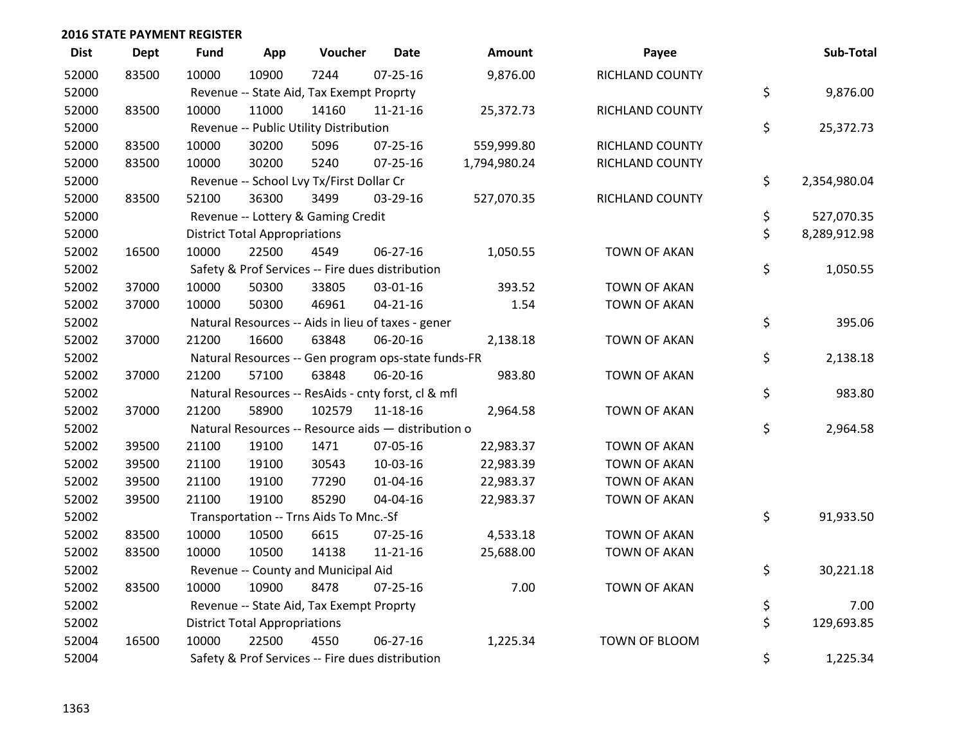| <b>Dist</b> | <b>Dept</b> | <b>Fund</b> | App                                  | Voucher                                             | Date           | Amount       | Payee               | Sub-Total          |
|-------------|-------------|-------------|--------------------------------------|-----------------------------------------------------|----------------|--------------|---------------------|--------------------|
| 52000       | 83500       | 10000       | 10900                                | 7244                                                | $07 - 25 - 16$ | 9,876.00     | RICHLAND COUNTY     |                    |
| 52000       |             |             |                                      | Revenue -- State Aid, Tax Exempt Proprty            |                |              |                     | \$<br>9,876.00     |
| 52000       | 83500       | 10000       | 11000                                | 14160                                               | $11 - 21 - 16$ | 25,372.73    | RICHLAND COUNTY     |                    |
| 52000       |             |             |                                      | Revenue -- Public Utility Distribution              |                |              |                     | \$<br>25,372.73    |
| 52000       | 83500       | 10000       | 30200                                | 5096                                                | 07-25-16       | 559,999.80   | RICHLAND COUNTY     |                    |
| 52000       | 83500       | 10000       | 30200                                | 5240                                                | $07 - 25 - 16$ | 1,794,980.24 | RICHLAND COUNTY     |                    |
| 52000       |             |             |                                      | Revenue -- School Lvy Tx/First Dollar Cr            |                |              |                     | \$<br>2,354,980.04 |
| 52000       | 83500       | 52100       | 36300                                | 3499                                                | 03-29-16       | 527,070.35   | RICHLAND COUNTY     |                    |
| 52000       |             |             |                                      | Revenue -- Lottery & Gaming Credit                  |                |              |                     | \$<br>527,070.35   |
| 52000       |             |             | <b>District Total Appropriations</b> |                                                     |                |              |                     | \$<br>8,289,912.98 |
| 52002       | 16500       | 10000       | 22500                                | 4549                                                | 06-27-16       | 1,050.55     | <b>TOWN OF AKAN</b> |                    |
| 52002       |             |             |                                      | Safety & Prof Services -- Fire dues distribution    |                |              |                     | \$<br>1,050.55     |
| 52002       | 37000       | 10000       | 50300                                | 33805                                               | 03-01-16       | 393.52       | <b>TOWN OF AKAN</b> |                    |
| 52002       | 37000       | 10000       | 50300                                | 46961                                               | $04 - 21 - 16$ | 1.54         | <b>TOWN OF AKAN</b> |                    |
| 52002       |             |             |                                      | Natural Resources -- Aids in lieu of taxes - gener  |                |              |                     | \$<br>395.06       |
| 52002       | 37000       | 21200       | 16600                                | 63848                                               | 06-20-16       | 2,138.18     | <b>TOWN OF AKAN</b> |                    |
| 52002       |             |             |                                      | Natural Resources -- Gen program ops-state funds-FR |                |              |                     | \$<br>2,138.18     |
| 52002       | 37000       | 21200       | 57100                                | 63848                                               | 06-20-16       | 983.80       | <b>TOWN OF AKAN</b> |                    |
| 52002       |             |             |                                      | Natural Resources -- ResAids - cnty forst, cl & mfl |                |              |                     | \$<br>983.80       |
| 52002       | 37000       | 21200       | 58900                                | 102579                                              | 11-18-16       | 2,964.58     | <b>TOWN OF AKAN</b> |                    |
| 52002       |             |             |                                      | Natural Resources -- Resource aids - distribution o |                |              |                     | \$<br>2,964.58     |
| 52002       | 39500       | 21100       | 19100                                | 1471                                                | 07-05-16       | 22,983.37    | <b>TOWN OF AKAN</b> |                    |
| 52002       | 39500       | 21100       | 19100                                | 30543                                               | 10-03-16       | 22,983.39    | <b>TOWN OF AKAN</b> |                    |
| 52002       | 39500       | 21100       | 19100                                | 77290                                               | $01 - 04 - 16$ | 22,983.37    | <b>TOWN OF AKAN</b> |                    |
| 52002       | 39500       | 21100       | 19100                                | 85290                                               | 04-04-16       | 22,983.37    | <b>TOWN OF AKAN</b> |                    |
| 52002       |             |             |                                      | Transportation -- Trns Aids To Mnc.-Sf              |                |              |                     | \$<br>91,933.50    |
| 52002       | 83500       | 10000       | 10500                                | 6615                                                | 07-25-16       | 4,533.18     | <b>TOWN OF AKAN</b> |                    |
| 52002       | 83500       | 10000       | 10500                                | 14138                                               | $11 - 21 - 16$ | 25,688.00    | <b>TOWN OF AKAN</b> |                    |
| 52002       |             |             |                                      | Revenue -- County and Municipal Aid                 |                |              |                     | \$<br>30,221.18    |
| 52002       | 83500       | 10000       | 10900                                | 8478                                                | $07 - 25 - 16$ | 7.00         | <b>TOWN OF AKAN</b> |                    |
| 52002       |             |             |                                      | Revenue -- State Aid, Tax Exempt Proprty            |                |              |                     | \$<br>7.00         |
| 52002       |             |             | <b>District Total Appropriations</b> |                                                     |                |              |                     | \$<br>129,693.85   |
| 52004       | 16500       | 10000       | 22500                                | 4550                                                | 06-27-16       | 1,225.34     | TOWN OF BLOOM       |                    |
| 52004       |             |             |                                      | Safety & Prof Services -- Fire dues distribution    |                |              |                     | \$<br>1,225.34     |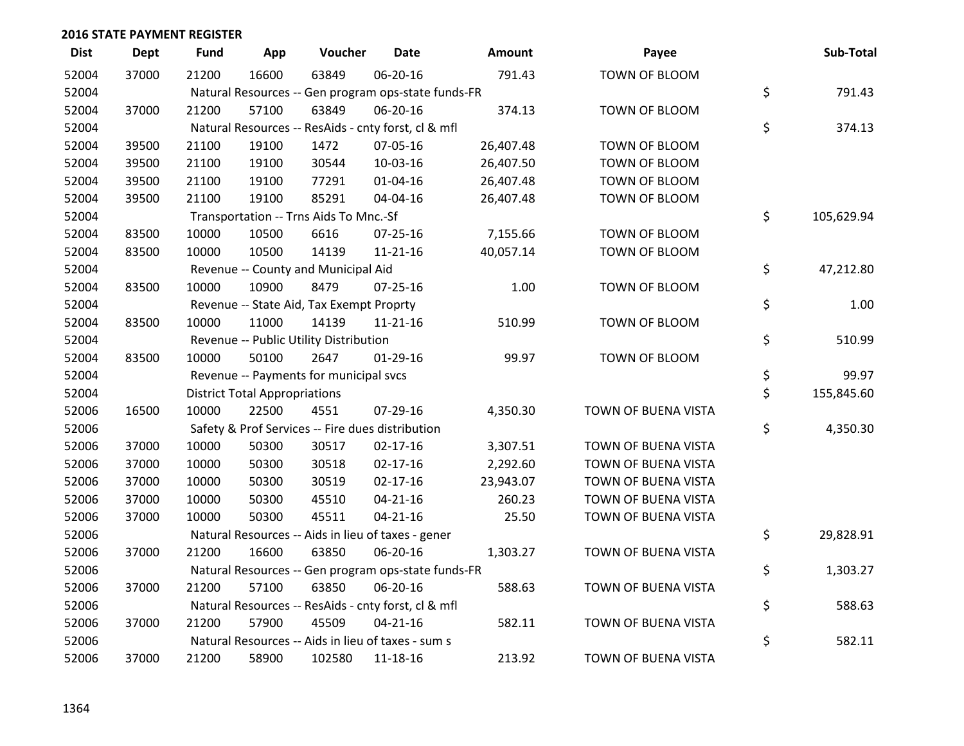| <b>Dist</b> | <b>Dept</b> | <b>Fund</b> | App                                  | Voucher                                             | <b>Date</b>    | Amount    | Payee               | Sub-Total        |
|-------------|-------------|-------------|--------------------------------------|-----------------------------------------------------|----------------|-----------|---------------------|------------------|
| 52004       | 37000       | 21200       | 16600                                | 63849                                               | 06-20-16       | 791.43    | TOWN OF BLOOM       |                  |
| 52004       |             |             |                                      | Natural Resources -- Gen program ops-state funds-FR |                |           |                     | \$<br>791.43     |
| 52004       | 37000       | 21200       | 57100                                | 63849                                               | 06-20-16       | 374.13    | TOWN OF BLOOM       |                  |
| 52004       |             |             |                                      | Natural Resources -- ResAids - cnty forst, cl & mfl |                |           |                     | \$<br>374.13     |
| 52004       | 39500       | 21100       | 19100                                | 1472                                                | 07-05-16       | 26,407.48 | TOWN OF BLOOM       |                  |
| 52004       | 39500       | 21100       | 19100                                | 30544                                               | 10-03-16       | 26,407.50 | TOWN OF BLOOM       |                  |
| 52004       | 39500       | 21100       | 19100                                | 77291                                               | $01 - 04 - 16$ | 26,407.48 | TOWN OF BLOOM       |                  |
| 52004       | 39500       | 21100       | 19100                                | 85291                                               | 04-04-16       | 26,407.48 | TOWN OF BLOOM       |                  |
| 52004       |             |             |                                      | Transportation -- Trns Aids To Mnc.-Sf              |                |           |                     | \$<br>105,629.94 |
| 52004       | 83500       | 10000       | 10500                                | 6616                                                | 07-25-16       | 7,155.66  | TOWN OF BLOOM       |                  |
| 52004       | 83500       | 10000       | 10500                                | 14139                                               | $11 - 21 - 16$ | 40,057.14 | TOWN OF BLOOM       |                  |
| 52004       |             |             |                                      | Revenue -- County and Municipal Aid                 |                |           |                     | \$<br>47,212.80  |
| 52004       | 83500       | 10000       | 10900                                | 8479                                                | $07 - 25 - 16$ | 1.00      | TOWN OF BLOOM       |                  |
| 52004       |             |             |                                      | Revenue -- State Aid, Tax Exempt Proprty            |                |           |                     | \$<br>1.00       |
| 52004       | 83500       | 10000       | 11000                                | 14139                                               | $11 - 21 - 16$ | 510.99    | TOWN OF BLOOM       |                  |
| 52004       |             |             |                                      | Revenue -- Public Utility Distribution              |                |           |                     | \$<br>510.99     |
| 52004       | 83500       | 10000       | 50100                                | 2647                                                | $01-29-16$     | 99.97     | TOWN OF BLOOM       |                  |
| 52004       |             |             |                                      | Revenue -- Payments for municipal svcs              |                |           |                     | \$<br>99.97      |
| 52004       |             |             | <b>District Total Appropriations</b> |                                                     |                |           |                     | \$<br>155,845.60 |
| 52006       | 16500       | 10000       | 22500                                | 4551                                                | 07-29-16       | 4,350.30  | TOWN OF BUENA VISTA |                  |
| 52006       |             |             |                                      | Safety & Prof Services -- Fire dues distribution    |                |           |                     | \$<br>4,350.30   |
| 52006       | 37000       | 10000       | 50300                                | 30517                                               | $02 - 17 - 16$ | 3,307.51  | TOWN OF BUENA VISTA |                  |
| 52006       | 37000       | 10000       | 50300                                | 30518                                               | $02 - 17 - 16$ | 2,292.60  | TOWN OF BUENA VISTA |                  |
| 52006       | 37000       | 10000       | 50300                                | 30519                                               | $02 - 17 - 16$ | 23,943.07 | TOWN OF BUENA VISTA |                  |
| 52006       | 37000       | 10000       | 50300                                | 45510                                               | $04 - 21 - 16$ | 260.23    | TOWN OF BUENA VISTA |                  |
| 52006       | 37000       | 10000       | 50300                                | 45511                                               | $04 - 21 - 16$ | 25.50     | TOWN OF BUENA VISTA |                  |
| 52006       |             |             |                                      | Natural Resources -- Aids in lieu of taxes - gener  |                |           |                     | \$<br>29,828.91  |
| 52006       | 37000       | 21200       | 16600                                | 63850                                               | 06-20-16       | 1,303.27  | TOWN OF BUENA VISTA |                  |
| 52006       |             |             |                                      | Natural Resources -- Gen program ops-state funds-FR |                |           |                     | \$<br>1,303.27   |
| 52006       | 37000       | 21200       | 57100                                | 63850                                               | 06-20-16       | 588.63    | TOWN OF BUENA VISTA |                  |
| 52006       |             |             |                                      | Natural Resources -- ResAids - cnty forst, cl & mfl |                |           |                     | \$<br>588.63     |
| 52006       | 37000       | 21200       | 57900                                | 45509                                               | $04 - 21 - 16$ | 582.11    | TOWN OF BUENA VISTA |                  |
| 52006       |             |             |                                      | Natural Resources -- Aids in lieu of taxes - sum s  |                |           |                     | \$<br>582.11     |
| 52006       | 37000       | 21200       | 58900                                | 102580                                              | 11-18-16       | 213.92    | TOWN OF BUENA VISTA |                  |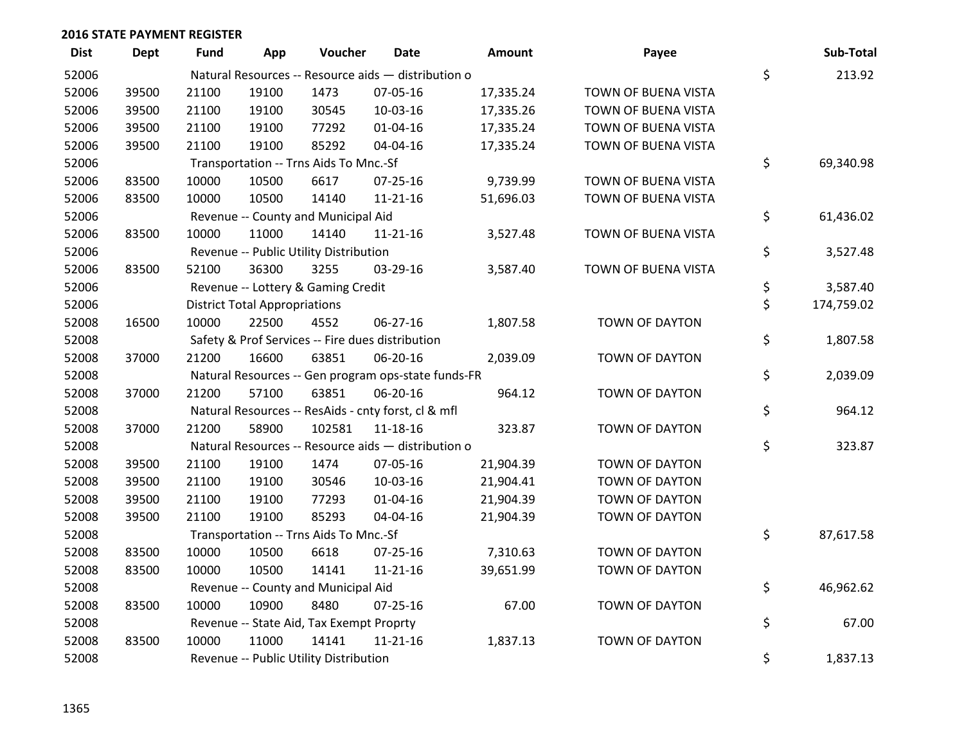| <b>Dist</b> | Dept  | <b>Fund</b> | App                                  | Voucher                                  | Date                                                | Amount    | Payee                 | Sub-Total        |
|-------------|-------|-------------|--------------------------------------|------------------------------------------|-----------------------------------------------------|-----------|-----------------------|------------------|
| 52006       |       |             |                                      |                                          | Natural Resources -- Resource aids - distribution o |           |                       | \$<br>213.92     |
| 52006       | 39500 | 21100       | 19100                                | 1473                                     | 07-05-16                                            | 17,335.24 | TOWN OF BUENA VISTA   |                  |
| 52006       | 39500 | 21100       | 19100                                | 30545                                    | 10-03-16                                            | 17,335.26 | TOWN OF BUENA VISTA   |                  |
| 52006       | 39500 | 21100       | 19100                                | 77292                                    | $01 - 04 - 16$                                      | 17,335.24 | TOWN OF BUENA VISTA   |                  |
| 52006       | 39500 | 21100       | 19100                                | 85292                                    | 04-04-16                                            | 17,335.24 | TOWN OF BUENA VISTA   |                  |
| 52006       |       |             |                                      | Transportation -- Trns Aids To Mnc.-Sf   |                                                     |           |                       | \$<br>69,340.98  |
| 52006       | 83500 | 10000       | 10500                                | 6617                                     | 07-25-16                                            | 9,739.99  | TOWN OF BUENA VISTA   |                  |
| 52006       | 83500 | 10000       | 10500                                | 14140                                    | $11 - 21 - 16$                                      | 51,696.03 | TOWN OF BUENA VISTA   |                  |
| 52006       |       |             |                                      | Revenue -- County and Municipal Aid      |                                                     |           |                       | \$<br>61,436.02  |
| 52006       | 83500 | 10000       | 11000                                | 14140                                    | $11 - 21 - 16$                                      | 3,527.48  | TOWN OF BUENA VISTA   |                  |
| 52006       |       |             |                                      | Revenue -- Public Utility Distribution   |                                                     |           |                       | \$<br>3,527.48   |
| 52006       | 83500 | 52100       | 36300                                | 3255                                     | 03-29-16                                            | 3,587.40  | TOWN OF BUENA VISTA   |                  |
| 52006       |       |             |                                      | Revenue -- Lottery & Gaming Credit       |                                                     |           |                       | \$<br>3,587.40   |
| 52006       |       |             | <b>District Total Appropriations</b> |                                          |                                                     |           |                       | \$<br>174,759.02 |
| 52008       | 16500 | 10000       | 22500                                | 4552                                     | 06-27-16                                            | 1,807.58  | TOWN OF DAYTON        |                  |
| 52008       |       |             |                                      |                                          | Safety & Prof Services -- Fire dues distribution    |           |                       | \$<br>1,807.58   |
| 52008       | 37000 | 21200       | 16600                                | 63851                                    | 06-20-16                                            | 2,039.09  | TOWN OF DAYTON        |                  |
| 52008       |       |             |                                      |                                          | Natural Resources -- Gen program ops-state funds-FR |           |                       | \$<br>2,039.09   |
| 52008       | 37000 | 21200       | 57100                                | 63851                                    | 06-20-16                                            | 964.12    | TOWN OF DAYTON        |                  |
| 52008       |       |             |                                      |                                          | Natural Resources -- ResAids - cnty forst, cl & mfl |           |                       | \$<br>964.12     |
| 52008       | 37000 | 21200       | 58900                                | 102581                                   | 11-18-16                                            | 323.87    | TOWN OF DAYTON        |                  |
| 52008       |       |             |                                      |                                          | Natural Resources -- Resource aids - distribution o |           |                       | \$<br>323.87     |
| 52008       | 39500 | 21100       | 19100                                | 1474                                     | 07-05-16                                            | 21,904.39 | TOWN OF DAYTON        |                  |
| 52008       | 39500 | 21100       | 19100                                | 30546                                    | 10-03-16                                            | 21,904.41 | TOWN OF DAYTON        |                  |
| 52008       | 39500 | 21100       | 19100                                | 77293                                    | $01 - 04 - 16$                                      | 21,904.39 | TOWN OF DAYTON        |                  |
| 52008       | 39500 | 21100       | 19100                                | 85293                                    | 04-04-16                                            | 21,904.39 | TOWN OF DAYTON        |                  |
| 52008       |       |             |                                      | Transportation -- Trns Aids To Mnc.-Sf   |                                                     |           |                       | \$<br>87,617.58  |
| 52008       | 83500 | 10000       | 10500                                | 6618                                     | $07 - 25 - 16$                                      | 7,310.63  | TOWN OF DAYTON        |                  |
| 52008       | 83500 | 10000       | 10500                                | 14141                                    | $11 - 21 - 16$                                      | 39,651.99 | TOWN OF DAYTON        |                  |
| 52008       |       |             |                                      | Revenue -- County and Municipal Aid      |                                                     |           |                       | \$<br>46,962.62  |
| 52008       | 83500 | 10000       | 10900                                | 8480                                     | 07-25-16                                            | 67.00     | TOWN OF DAYTON        |                  |
| 52008       |       |             |                                      | Revenue -- State Aid, Tax Exempt Proprty |                                                     |           |                       | \$<br>67.00      |
| 52008       | 83500 | 10000       | 11000                                | 14141                                    | $11 - 21 - 16$                                      | 1,837.13  | <b>TOWN OF DAYTON</b> |                  |
| 52008       |       |             |                                      | Revenue -- Public Utility Distribution   |                                                     |           |                       | \$<br>1,837.13   |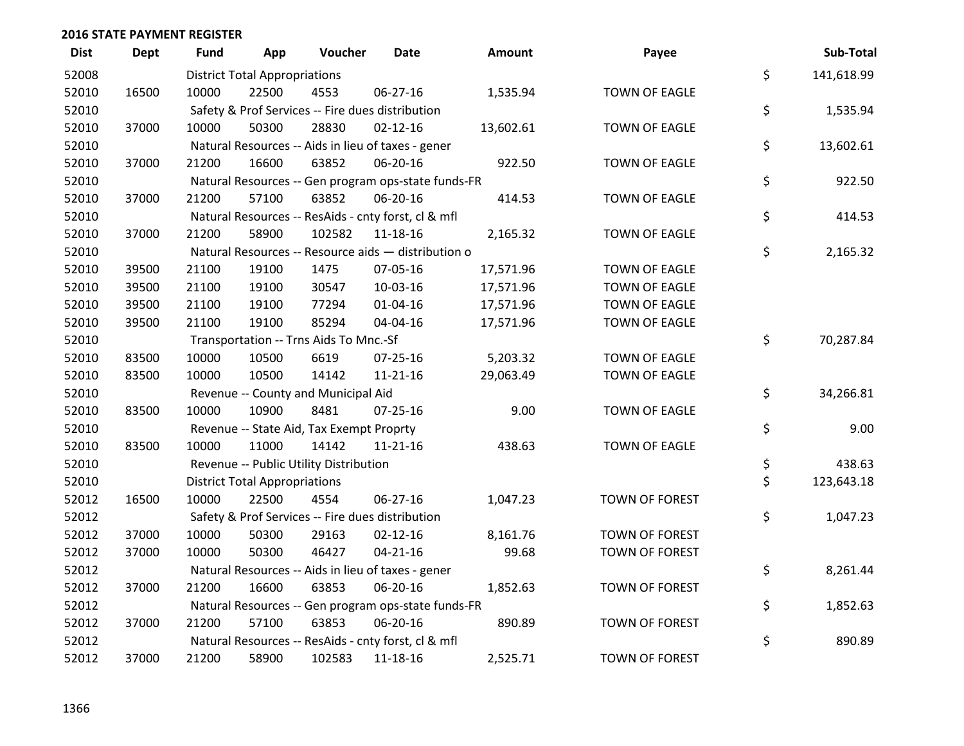| <b>Dist</b> | <b>Dept</b> | <b>Fund</b> | App                                  | Voucher                                  | <b>Date</b>                                         | Amount    | Payee                 | Sub-Total        |
|-------------|-------------|-------------|--------------------------------------|------------------------------------------|-----------------------------------------------------|-----------|-----------------------|------------------|
| 52008       |             |             | <b>District Total Appropriations</b> |                                          |                                                     |           |                       | \$<br>141,618.99 |
| 52010       | 16500       | 10000       | 22500                                | 4553                                     | 06-27-16                                            | 1,535.94  | <b>TOWN OF EAGLE</b>  |                  |
| 52010       |             |             |                                      |                                          | Safety & Prof Services -- Fire dues distribution    |           |                       | \$<br>1,535.94   |
| 52010       | 37000       | 10000       | 50300                                | 28830                                    | $02 - 12 - 16$                                      | 13,602.61 | <b>TOWN OF EAGLE</b>  |                  |
| 52010       |             |             |                                      |                                          | Natural Resources -- Aids in lieu of taxes - gener  |           |                       | \$<br>13,602.61  |
| 52010       | 37000       | 21200       | 16600                                | 63852                                    | 06-20-16                                            | 922.50    | TOWN OF EAGLE         |                  |
| 52010       |             |             |                                      |                                          | Natural Resources -- Gen program ops-state funds-FR |           |                       | \$<br>922.50     |
| 52010       | 37000       | 21200       | 57100                                | 63852                                    | 06-20-16                                            | 414.53    | <b>TOWN OF EAGLE</b>  |                  |
| 52010       |             |             |                                      |                                          | Natural Resources -- ResAids - cnty forst, cl & mfl |           |                       | \$<br>414.53     |
| 52010       | 37000       | 21200       | 58900                                | 102582                                   | 11-18-16                                            | 2,165.32  | <b>TOWN OF EAGLE</b>  |                  |
| 52010       |             |             |                                      |                                          | Natural Resources -- Resource aids - distribution o |           |                       | \$<br>2,165.32   |
| 52010       | 39500       | 21100       | 19100                                | 1475                                     | 07-05-16                                            | 17,571.96 | <b>TOWN OF EAGLE</b>  |                  |
| 52010       | 39500       | 21100       | 19100                                | 30547                                    | 10-03-16                                            | 17,571.96 | <b>TOWN OF EAGLE</b>  |                  |
| 52010       | 39500       | 21100       | 19100                                | 77294                                    | $01 - 04 - 16$                                      | 17,571.96 | <b>TOWN OF EAGLE</b>  |                  |
| 52010       | 39500       | 21100       | 19100                                | 85294                                    | 04-04-16                                            | 17,571.96 | <b>TOWN OF EAGLE</b>  |                  |
| 52010       |             |             |                                      | Transportation -- Trns Aids To Mnc.-Sf   |                                                     |           |                       | \$<br>70,287.84  |
| 52010       | 83500       | 10000       | 10500                                | 6619                                     | 07-25-16                                            | 5,203.32  | <b>TOWN OF EAGLE</b>  |                  |
| 52010       | 83500       | 10000       | 10500                                | 14142                                    | 11-21-16                                            | 29,063.49 | <b>TOWN OF EAGLE</b>  |                  |
| 52010       |             |             |                                      | Revenue -- County and Municipal Aid      |                                                     |           |                       | \$<br>34,266.81  |
| 52010       | 83500       | 10000       | 10900                                | 8481                                     | $07 - 25 - 16$                                      | 9.00      | <b>TOWN OF EAGLE</b>  |                  |
| 52010       |             |             |                                      | Revenue -- State Aid, Tax Exempt Proprty |                                                     |           |                       | \$<br>9.00       |
| 52010       | 83500       | 10000       | 11000                                | 14142                                    | 11-21-16                                            | 438.63    | <b>TOWN OF EAGLE</b>  |                  |
| 52010       |             |             |                                      | Revenue -- Public Utility Distribution   |                                                     |           |                       | \$<br>438.63     |
| 52010       |             |             | <b>District Total Appropriations</b> |                                          |                                                     |           |                       | \$<br>123,643.18 |
| 52012       | 16500       | 10000       | 22500                                | 4554                                     | 06-27-16                                            | 1,047.23  | TOWN OF FOREST        |                  |
| 52012       |             |             |                                      |                                          | Safety & Prof Services -- Fire dues distribution    |           |                       | \$<br>1,047.23   |
| 52012       | 37000       | 10000       | 50300                                | 29163                                    | $02 - 12 - 16$                                      | 8,161.76  | TOWN OF FOREST        |                  |
| 52012       | 37000       | 10000       | 50300                                | 46427                                    | $04 - 21 - 16$                                      | 99.68     | TOWN OF FOREST        |                  |
| 52012       |             |             |                                      |                                          | Natural Resources -- Aids in lieu of taxes - gener  |           |                       | \$<br>8,261.44   |
| 52012       | 37000       | 21200       | 16600                                | 63853                                    | 06-20-16                                            | 1,852.63  | TOWN OF FOREST        |                  |
| 52012       |             |             |                                      |                                          | Natural Resources -- Gen program ops-state funds-FR |           |                       | \$<br>1,852.63   |
| 52012       | 37000       | 21200       | 57100                                | 63853                                    | 06-20-16                                            | 890.89    | TOWN OF FOREST        |                  |
| 52012       |             |             |                                      |                                          | Natural Resources -- ResAids - cnty forst, cl & mfl |           |                       | \$<br>890.89     |
| 52012       | 37000       | 21200       | 58900                                | 102583                                   | 11-18-16                                            | 2,525.71  | <b>TOWN OF FOREST</b> |                  |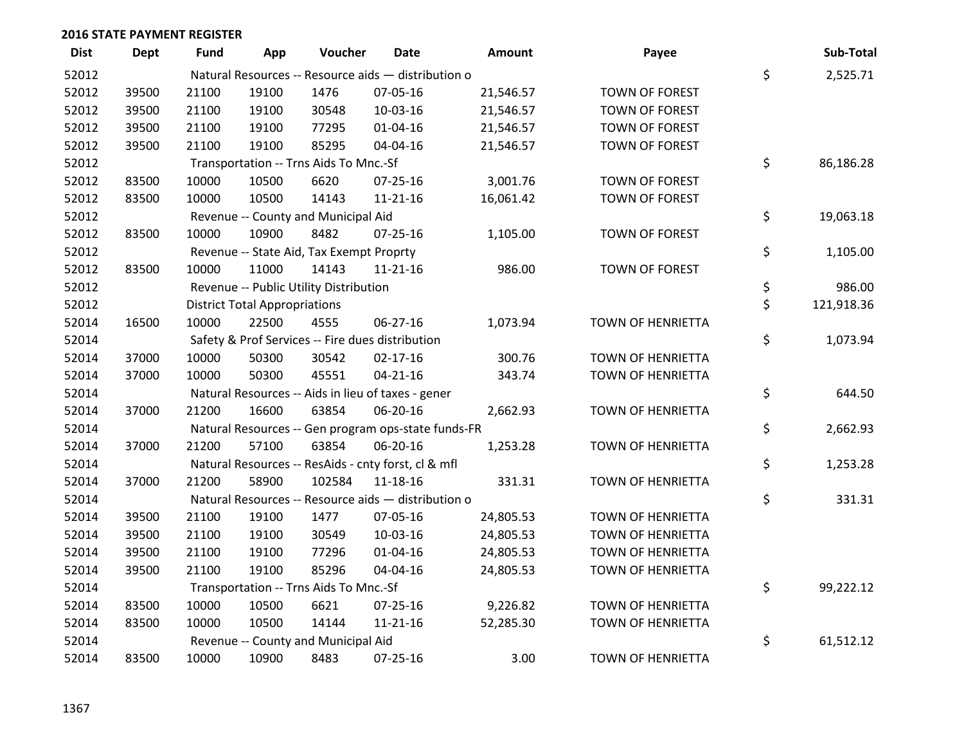| <b>Dist</b> | Dept  | <b>Fund</b> | App                                  | Voucher                                  | Date                                                | Amount    | Payee                 | Sub-Total        |
|-------------|-------|-------------|--------------------------------------|------------------------------------------|-----------------------------------------------------|-----------|-----------------------|------------------|
| 52012       |       |             |                                      |                                          | Natural Resources -- Resource aids - distribution o |           |                       | \$<br>2,525.71   |
| 52012       | 39500 | 21100       | 19100                                | 1476                                     | 07-05-16                                            | 21,546.57 | TOWN OF FOREST        |                  |
| 52012       | 39500 | 21100       | 19100                                | 30548                                    | 10-03-16                                            | 21,546.57 | TOWN OF FOREST        |                  |
| 52012       | 39500 | 21100       | 19100                                | 77295                                    | $01 - 04 - 16$                                      | 21,546.57 | TOWN OF FOREST        |                  |
| 52012       | 39500 | 21100       | 19100                                | 85295                                    | 04-04-16                                            | 21,546.57 | TOWN OF FOREST        |                  |
| 52012       |       |             |                                      | Transportation -- Trns Aids To Mnc.-Sf   |                                                     |           |                       | \$<br>86,186.28  |
| 52012       | 83500 | 10000       | 10500                                | 6620                                     | $07 - 25 - 16$                                      | 3,001.76  | TOWN OF FOREST        |                  |
| 52012       | 83500 | 10000       | 10500                                | 14143                                    | $11 - 21 - 16$                                      | 16,061.42 | TOWN OF FOREST        |                  |
| 52012       |       |             |                                      | Revenue -- County and Municipal Aid      |                                                     |           |                       | \$<br>19,063.18  |
| 52012       | 83500 | 10000       | 10900                                | 8482                                     | $07 - 25 - 16$                                      | 1,105.00  | TOWN OF FOREST        |                  |
| 52012       |       |             |                                      | Revenue -- State Aid, Tax Exempt Proprty |                                                     |           |                       | \$<br>1,105.00   |
| 52012       | 83500 | 10000       | 11000                                | 14143                                    | $11 - 21 - 16$                                      | 986.00    | <b>TOWN OF FOREST</b> |                  |
| 52012       |       |             |                                      | Revenue -- Public Utility Distribution   |                                                     |           |                       | \$<br>986.00     |
| 52012       |       |             | <b>District Total Appropriations</b> |                                          |                                                     |           |                       | \$<br>121,918.36 |
| 52014       | 16500 | 10000       | 22500                                | 4555                                     | 06-27-16                                            | 1,073.94  | TOWN OF HENRIETTA     |                  |
| 52014       |       |             |                                      |                                          | Safety & Prof Services -- Fire dues distribution    |           |                       | \$<br>1,073.94   |
| 52014       | 37000 | 10000       | 50300                                | 30542                                    | $02 - 17 - 16$                                      | 300.76    | TOWN OF HENRIETTA     |                  |
| 52014       | 37000 | 10000       | 50300                                | 45551                                    | $04 - 21 - 16$                                      | 343.74    | TOWN OF HENRIETTA     |                  |
| 52014       |       |             |                                      |                                          | Natural Resources -- Aids in lieu of taxes - gener  |           |                       | \$<br>644.50     |
| 52014       | 37000 | 21200       | 16600                                | 63854                                    | 06-20-16                                            | 2,662.93  | TOWN OF HENRIETTA     |                  |
| 52014       |       |             |                                      |                                          | Natural Resources -- Gen program ops-state funds-FR |           |                       | \$<br>2,662.93   |
| 52014       | 37000 | 21200       | 57100                                | 63854                                    | 06-20-16                                            | 1,253.28  | TOWN OF HENRIETTA     |                  |
| 52014       |       |             |                                      |                                          | Natural Resources -- ResAids - cnty forst, cl & mfl |           |                       | \$<br>1,253.28   |
| 52014       | 37000 | 21200       | 58900                                | 102584                                   | $11 - 18 - 16$                                      | 331.31    | TOWN OF HENRIETTA     |                  |
| 52014       |       |             |                                      |                                          | Natural Resources -- Resource aids - distribution o |           |                       | \$<br>331.31     |
| 52014       | 39500 | 21100       | 19100                                | 1477                                     | 07-05-16                                            | 24,805.53 | TOWN OF HENRIETTA     |                  |
| 52014       | 39500 | 21100       | 19100                                | 30549                                    | 10-03-16                                            | 24,805.53 | TOWN OF HENRIETTA     |                  |
| 52014       | 39500 | 21100       | 19100                                | 77296                                    | 01-04-16                                            | 24,805.53 | TOWN OF HENRIETTA     |                  |
| 52014       | 39500 | 21100       | 19100                                | 85296                                    | 04-04-16                                            | 24,805.53 | TOWN OF HENRIETTA     |                  |
| 52014       |       |             |                                      | Transportation -- Trns Aids To Mnc.-Sf   |                                                     |           |                       | \$<br>99,222.12  |
| 52014       | 83500 | 10000       | 10500                                | 6621                                     | 07-25-16                                            | 9,226.82  | TOWN OF HENRIETTA     |                  |
| 52014       | 83500 | 10000       | 10500                                | 14144                                    | $11 - 21 - 16$                                      | 52,285.30 | TOWN OF HENRIETTA     |                  |
| 52014       |       |             |                                      | Revenue -- County and Municipal Aid      |                                                     |           |                       | \$<br>61,512.12  |
| 52014       | 83500 | 10000       | 10900                                | 8483                                     | 07-25-16                                            | 3.00      | TOWN OF HENRIETTA     |                  |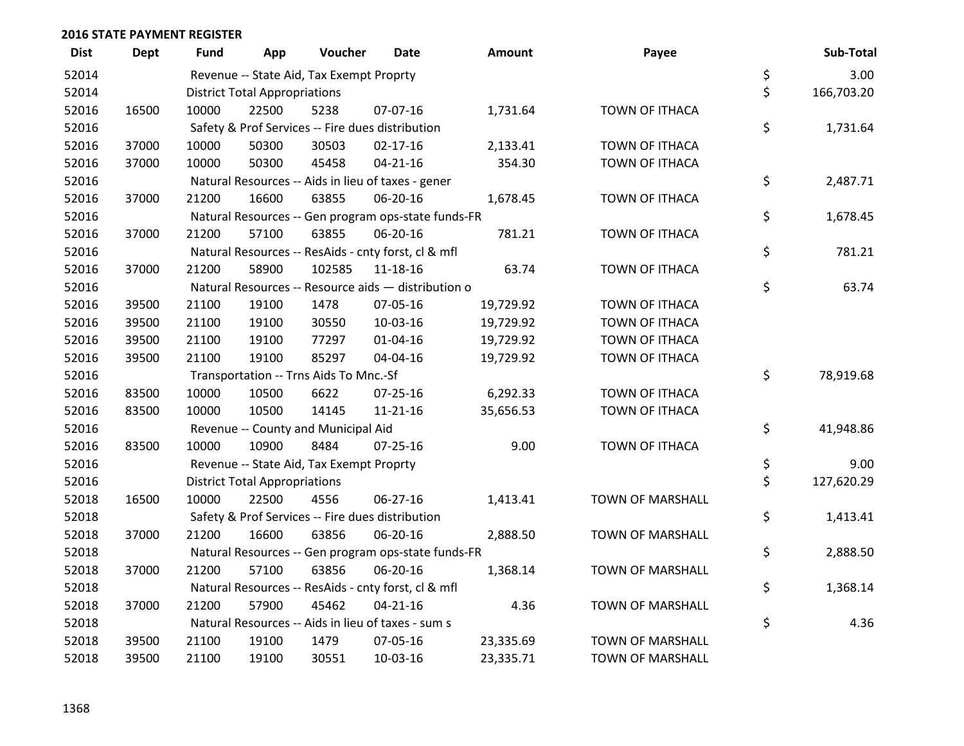| <b>Dist</b> | <b>Dept</b> | <b>Fund</b> | App                                  | Voucher                                  | Date                                                | Amount    | Payee                   | Sub-Total        |
|-------------|-------------|-------------|--------------------------------------|------------------------------------------|-----------------------------------------------------|-----------|-------------------------|------------------|
| 52014       |             |             |                                      | Revenue -- State Aid, Tax Exempt Proprty |                                                     |           |                         | \$<br>3.00       |
| 52014       |             |             | <b>District Total Appropriations</b> |                                          |                                                     |           |                         | \$<br>166,703.20 |
| 52016       | 16500       | 10000       | 22500                                | 5238                                     | 07-07-16                                            | 1,731.64  | TOWN OF ITHACA          |                  |
| 52016       |             |             |                                      |                                          | Safety & Prof Services -- Fire dues distribution    |           |                         | \$<br>1,731.64   |
| 52016       | 37000       | 10000       | 50300                                | 30503                                    | $02 - 17 - 16$                                      | 2,133.41  | TOWN OF ITHACA          |                  |
| 52016       | 37000       | 10000       | 50300                                | 45458                                    | $04 - 21 - 16$                                      | 354.30    | TOWN OF ITHACA          |                  |
| 52016       |             |             |                                      |                                          | Natural Resources -- Aids in lieu of taxes - gener  |           |                         | \$<br>2,487.71   |
| 52016       | 37000       | 21200       | 16600                                | 63855                                    | 06-20-16                                            | 1,678.45  | <b>TOWN OF ITHACA</b>   |                  |
| 52016       |             |             |                                      |                                          | Natural Resources -- Gen program ops-state funds-FR |           |                         | \$<br>1,678.45   |
| 52016       | 37000       | 21200       | 57100                                | 63855                                    | 06-20-16                                            | 781.21    | TOWN OF ITHACA          |                  |
| 52016       |             |             |                                      |                                          | Natural Resources -- ResAids - cnty forst, cl & mfl |           |                         | \$<br>781.21     |
| 52016       | 37000       | 21200       | 58900                                | 102585                                   | 11-18-16                                            | 63.74     | TOWN OF ITHACA          |                  |
| 52016       |             |             |                                      |                                          | Natural Resources -- Resource aids - distribution o |           |                         | \$<br>63.74      |
| 52016       | 39500       | 21100       | 19100                                | 1478                                     | 07-05-16                                            | 19,729.92 | TOWN OF ITHACA          |                  |
| 52016       | 39500       | 21100       | 19100                                | 30550                                    | 10-03-16                                            | 19,729.92 | TOWN OF ITHACA          |                  |
| 52016       | 39500       | 21100       | 19100                                | 77297                                    | $01 - 04 - 16$                                      | 19,729.92 | <b>TOWN OF ITHACA</b>   |                  |
| 52016       | 39500       | 21100       | 19100                                | 85297                                    | 04-04-16                                            | 19,729.92 | TOWN OF ITHACA          |                  |
| 52016       |             |             |                                      | Transportation -- Trns Aids To Mnc.-Sf   |                                                     |           |                         | \$<br>78,919.68  |
| 52016       | 83500       | 10000       | 10500                                | 6622                                     | 07-25-16                                            | 6,292.33  | TOWN OF ITHACA          |                  |
| 52016       | 83500       | 10000       | 10500                                | 14145                                    | $11 - 21 - 16$                                      | 35,656.53 | <b>TOWN OF ITHACA</b>   |                  |
| 52016       |             |             |                                      | Revenue -- County and Municipal Aid      |                                                     |           |                         | \$<br>41,948.86  |
| 52016       | 83500       | 10000       | 10900                                | 8484                                     | $07 - 25 - 16$                                      | 9.00      | TOWN OF ITHACA          |                  |
| 52016       |             |             |                                      | Revenue -- State Aid, Tax Exempt Proprty |                                                     |           |                         | \$<br>9.00       |
| 52016       |             |             | <b>District Total Appropriations</b> |                                          |                                                     |           |                         | \$<br>127,620.29 |
| 52018       | 16500       | 10000       | 22500                                | 4556                                     | 06-27-16                                            | 1,413.41  | TOWN OF MARSHALL        |                  |
| 52018       |             |             |                                      |                                          | Safety & Prof Services -- Fire dues distribution    |           |                         | \$<br>1,413.41   |
| 52018       | 37000       | 21200       | 16600                                | 63856                                    | 06-20-16                                            | 2,888.50  | <b>TOWN OF MARSHALL</b> |                  |
| 52018       |             |             |                                      |                                          | Natural Resources -- Gen program ops-state funds-FR |           |                         | \$<br>2,888.50   |
| 52018       | 37000       | 21200       | 57100                                | 63856                                    | 06-20-16                                            | 1,368.14  | <b>TOWN OF MARSHALL</b> |                  |
| 52018       |             |             |                                      |                                          | Natural Resources -- ResAids - cnty forst, cl & mfl |           |                         | \$<br>1,368.14   |
| 52018       | 37000       | 21200       | 57900                                | 45462                                    | $04 - 21 - 16$                                      | 4.36      | <b>TOWN OF MARSHALL</b> |                  |
| 52018       |             |             |                                      |                                          | Natural Resources -- Aids in lieu of taxes - sum s  |           |                         | \$<br>4.36       |
| 52018       | 39500       | 21100       | 19100                                | 1479                                     | 07-05-16                                            | 23,335.69 | <b>TOWN OF MARSHALL</b> |                  |
| 52018       | 39500       | 21100       | 19100                                | 30551                                    | 10-03-16                                            | 23,335.71 | <b>TOWN OF MARSHALL</b> |                  |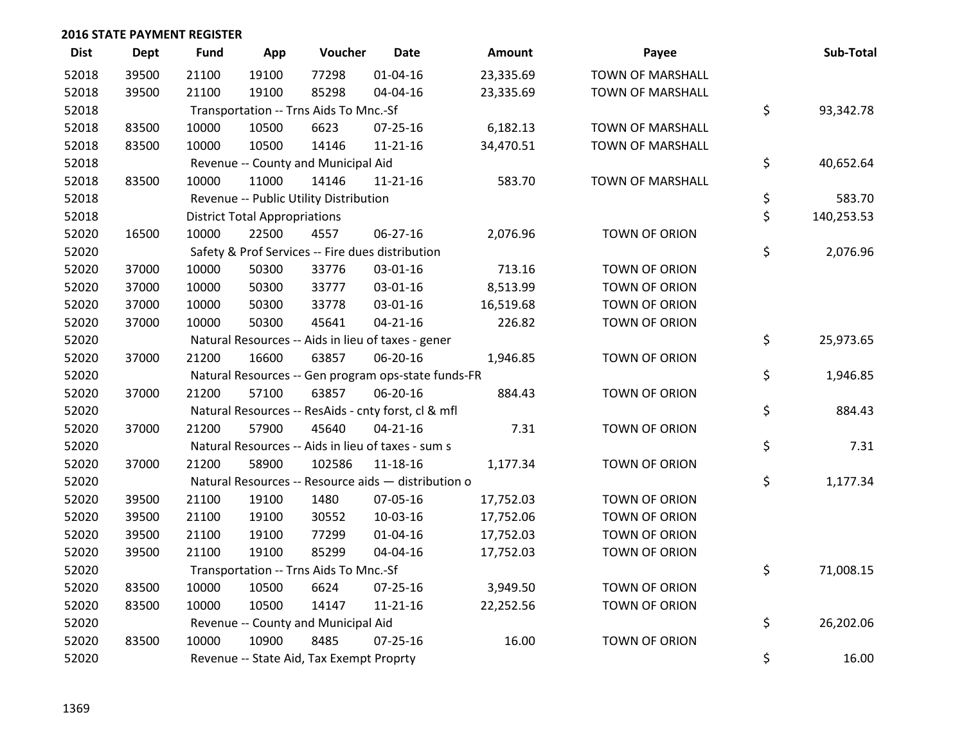| <b>Dist</b> | <b>Dept</b> | <b>Fund</b> | App                                  | Voucher                                  | <b>Date</b>                                         | Amount    | Payee                   | Sub-Total        |
|-------------|-------------|-------------|--------------------------------------|------------------------------------------|-----------------------------------------------------|-----------|-------------------------|------------------|
| 52018       | 39500       | 21100       | 19100                                | 77298                                    | $01 - 04 - 16$                                      | 23,335.69 | <b>TOWN OF MARSHALL</b> |                  |
| 52018       | 39500       | 21100       | 19100                                | 85298                                    | 04-04-16                                            | 23,335.69 | <b>TOWN OF MARSHALL</b> |                  |
| 52018       |             |             |                                      | Transportation -- Trns Aids To Mnc.-Sf   |                                                     |           |                         | \$<br>93,342.78  |
| 52018       | 83500       | 10000       | 10500                                | 6623                                     | 07-25-16                                            | 6,182.13  | <b>TOWN OF MARSHALL</b> |                  |
| 52018       | 83500       | 10000       | 10500                                | 14146                                    | $11 - 21 - 16$                                      | 34,470.51 | <b>TOWN OF MARSHALL</b> |                  |
| 52018       |             |             |                                      | Revenue -- County and Municipal Aid      |                                                     |           |                         | \$<br>40,652.64  |
| 52018       | 83500       | 10000       | 11000                                | 14146                                    | $11 - 21 - 16$                                      | 583.70    | <b>TOWN OF MARSHALL</b> |                  |
| 52018       |             |             |                                      | Revenue -- Public Utility Distribution   |                                                     |           |                         | \$<br>583.70     |
| 52018       |             |             | <b>District Total Appropriations</b> |                                          |                                                     |           |                         | \$<br>140,253.53 |
| 52020       | 16500       | 10000       | 22500                                | 4557                                     | 06-27-16                                            | 2,076.96  | TOWN OF ORION           |                  |
| 52020       |             |             |                                      |                                          | Safety & Prof Services -- Fire dues distribution    |           |                         | \$<br>2,076.96   |
| 52020       | 37000       | 10000       | 50300                                | 33776                                    | 03-01-16                                            | 713.16    | <b>TOWN OF ORION</b>    |                  |
| 52020       | 37000       | 10000       | 50300                                | 33777                                    | 03-01-16                                            | 8,513.99  | TOWN OF ORION           |                  |
| 52020       | 37000       | 10000       | 50300                                | 33778                                    | 03-01-16                                            | 16,519.68 | TOWN OF ORION           |                  |
| 52020       | 37000       | 10000       | 50300                                | 45641                                    | $04 - 21 - 16$                                      | 226.82    | <b>TOWN OF ORION</b>    |                  |
| 52020       |             |             |                                      |                                          | Natural Resources -- Aids in lieu of taxes - gener  |           |                         | \$<br>25,973.65  |
| 52020       | 37000       | 21200       | 16600                                | 63857                                    | 06-20-16                                            | 1,946.85  | TOWN OF ORION           |                  |
| 52020       |             |             |                                      |                                          | Natural Resources -- Gen program ops-state funds-FR |           |                         | \$<br>1,946.85   |
| 52020       | 37000       | 21200       | 57100                                | 63857                                    | 06-20-16                                            | 884.43    | <b>TOWN OF ORION</b>    |                  |
| 52020       |             |             |                                      |                                          | Natural Resources -- ResAids - cnty forst, cl & mfl |           |                         | \$<br>884.43     |
| 52020       | 37000       | 21200       | 57900                                | 45640                                    | $04 - 21 - 16$                                      | 7.31      | TOWN OF ORION           |                  |
| 52020       |             |             |                                      |                                          | Natural Resources -- Aids in lieu of taxes - sum s  |           |                         | \$<br>7.31       |
| 52020       | 37000       | 21200       | 58900                                | 102586                                   | 11-18-16                                            | 1,177.34  | TOWN OF ORION           |                  |
| 52020       |             |             |                                      |                                          | Natural Resources -- Resource aids - distribution o |           |                         | \$<br>1,177.34   |
| 52020       | 39500       | 21100       | 19100                                | 1480                                     | 07-05-16                                            | 17,752.03 | TOWN OF ORION           |                  |
| 52020       | 39500       | 21100       | 19100                                | 30552                                    | 10-03-16                                            | 17,752.06 | TOWN OF ORION           |                  |
| 52020       | 39500       | 21100       | 19100                                | 77299                                    | $01 - 04 - 16$                                      | 17,752.03 | TOWN OF ORION           |                  |
| 52020       | 39500       | 21100       | 19100                                | 85299                                    | 04-04-16                                            | 17,752.03 | TOWN OF ORION           |                  |
| 52020       |             |             |                                      | Transportation -- Trns Aids To Mnc.-Sf   |                                                     |           |                         | \$<br>71,008.15  |
| 52020       | 83500       | 10000       | 10500                                | 6624                                     | 07-25-16                                            | 3,949.50  | TOWN OF ORION           |                  |
| 52020       | 83500       | 10000       | 10500                                | 14147                                    | $11 - 21 - 16$                                      | 22,252.56 | TOWN OF ORION           |                  |
| 52020       |             |             |                                      | Revenue -- County and Municipal Aid      |                                                     |           |                         | \$<br>26,202.06  |
| 52020       | 83500       | 10000       | 10900                                | 8485                                     | $07 - 25 - 16$                                      | 16.00     | <b>TOWN OF ORION</b>    |                  |
| 52020       |             |             |                                      | Revenue -- State Aid, Tax Exempt Proprty |                                                     |           |                         | \$<br>16.00      |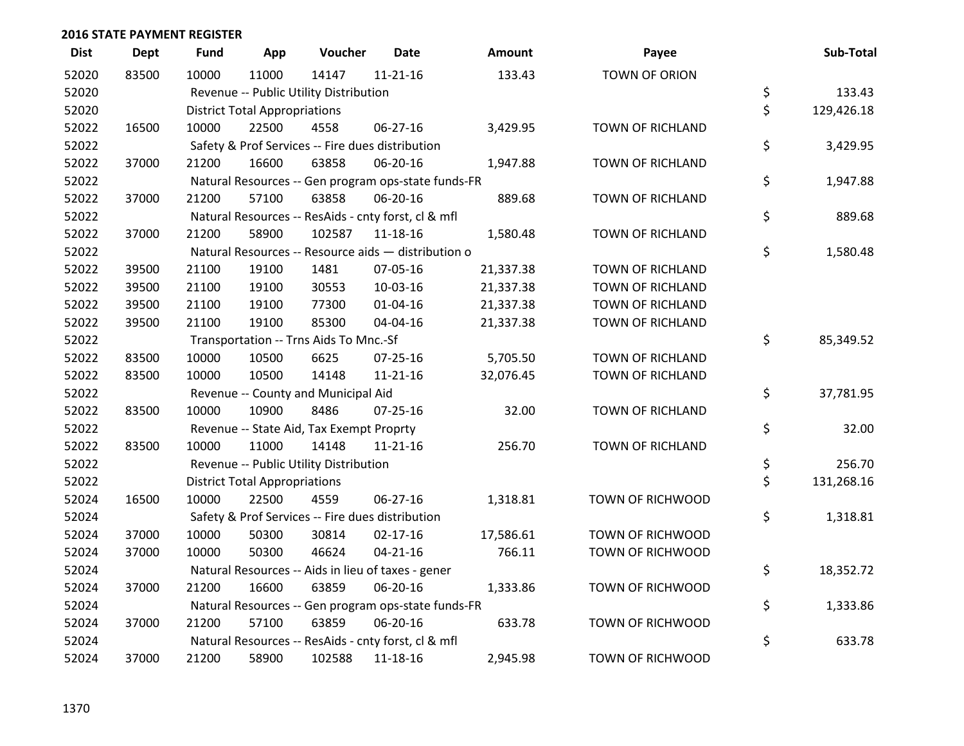| <b>Dist</b> | <b>Dept</b> | <b>Fund</b> | App                                  | Voucher                                  | <b>Date</b>                                         | Amount    | Payee                   | Sub-Total        |
|-------------|-------------|-------------|--------------------------------------|------------------------------------------|-----------------------------------------------------|-----------|-------------------------|------------------|
| 52020       | 83500       | 10000       | 11000                                | 14147                                    | $11 - 21 - 16$                                      | 133.43    | <b>TOWN OF ORION</b>    |                  |
| 52020       |             |             |                                      | Revenue -- Public Utility Distribution   |                                                     |           |                         | \$<br>133.43     |
| 52020       |             |             | <b>District Total Appropriations</b> |                                          |                                                     |           |                         | \$<br>129,426.18 |
| 52022       | 16500       | 10000       | 22500                                | 4558                                     | 06-27-16                                            | 3,429.95  | <b>TOWN OF RICHLAND</b> |                  |
| 52022       |             |             |                                      |                                          | Safety & Prof Services -- Fire dues distribution    |           |                         | \$<br>3,429.95   |
| 52022       | 37000       | 21200       | 16600                                | 63858                                    | 06-20-16                                            | 1,947.88  | TOWN OF RICHLAND        |                  |
| 52022       |             |             |                                      |                                          | Natural Resources -- Gen program ops-state funds-FR |           |                         | \$<br>1,947.88   |
| 52022       | 37000       | 21200       | 57100                                | 63858                                    | 06-20-16                                            | 889.68    | <b>TOWN OF RICHLAND</b> |                  |
| 52022       |             |             |                                      |                                          | Natural Resources -- ResAids - cnty forst, cl & mfl |           |                         | \$<br>889.68     |
| 52022       | 37000       | 21200       | 58900                                | 102587                                   | 11-18-16                                            | 1,580.48  | TOWN OF RICHLAND        |                  |
| 52022       |             |             |                                      |                                          | Natural Resources -- Resource aids - distribution o |           |                         | \$<br>1,580.48   |
| 52022       | 39500       | 21100       | 19100                                | 1481                                     | 07-05-16                                            | 21,337.38 | <b>TOWN OF RICHLAND</b> |                  |
| 52022       | 39500       | 21100       | 19100                                | 30553                                    | 10-03-16                                            | 21,337.38 | TOWN OF RICHLAND        |                  |
| 52022       | 39500       | 21100       | 19100                                | 77300                                    | $01 - 04 - 16$                                      | 21,337.38 | TOWN OF RICHLAND        |                  |
| 52022       | 39500       | 21100       | 19100                                | 85300                                    | 04-04-16                                            | 21,337.38 | TOWN OF RICHLAND        |                  |
| 52022       |             |             |                                      | Transportation -- Trns Aids To Mnc.-Sf   |                                                     |           |                         | \$<br>85,349.52  |
| 52022       | 83500       | 10000       | 10500                                | 6625                                     | 07-25-16                                            | 5,705.50  | TOWN OF RICHLAND        |                  |
| 52022       | 83500       | 10000       | 10500                                | 14148                                    | $11 - 21 - 16$                                      | 32,076.45 | TOWN OF RICHLAND        |                  |
| 52022       |             |             |                                      | Revenue -- County and Municipal Aid      |                                                     |           |                         | \$<br>37,781.95  |
| 52022       | 83500       | 10000       | 10900                                | 8486                                     | $07 - 25 - 16$                                      | 32.00     | <b>TOWN OF RICHLAND</b> |                  |
| 52022       |             |             |                                      | Revenue -- State Aid, Tax Exempt Proprty |                                                     |           |                         | \$<br>32.00      |
| 52022       | 83500       | 10000       | 11000                                | 14148                                    | $11 - 21 - 16$                                      | 256.70    | TOWN OF RICHLAND        |                  |
| 52022       |             |             |                                      | Revenue -- Public Utility Distribution   |                                                     |           |                         | \$<br>256.70     |
| 52022       |             |             | <b>District Total Appropriations</b> |                                          |                                                     |           |                         | \$<br>131,268.16 |
| 52024       | 16500       | 10000       | 22500                                | 4559                                     | $06 - 27 - 16$                                      | 1,318.81  | TOWN OF RICHWOOD        |                  |
| 52024       |             |             |                                      |                                          | Safety & Prof Services -- Fire dues distribution    |           |                         | \$<br>1,318.81   |
| 52024       | 37000       | 10000       | 50300                                | 30814                                    | $02 - 17 - 16$                                      | 17,586.61 | TOWN OF RICHWOOD        |                  |
| 52024       | 37000       | 10000       | 50300                                | 46624                                    | $04 - 21 - 16$                                      | 766.11    | TOWN OF RICHWOOD        |                  |
| 52024       |             |             |                                      |                                          | Natural Resources -- Aids in lieu of taxes - gener  |           |                         | \$<br>18,352.72  |
| 52024       | 37000       | 21200       | 16600                                | 63859                                    | 06-20-16                                            | 1,333.86  | TOWN OF RICHWOOD        |                  |
| 52024       |             |             |                                      |                                          | Natural Resources -- Gen program ops-state funds-FR |           |                         | \$<br>1,333.86   |
| 52024       | 37000       | 21200       | 57100                                | 63859                                    | 06-20-16                                            | 633.78    | TOWN OF RICHWOOD        |                  |
| 52024       |             |             |                                      |                                          | Natural Resources -- ResAids - cnty forst, cl & mfl |           |                         | \$<br>633.78     |
| 52024       | 37000       | 21200       | 58900                                | 102588                                   | 11-18-16                                            | 2,945.98  | TOWN OF RICHWOOD        |                  |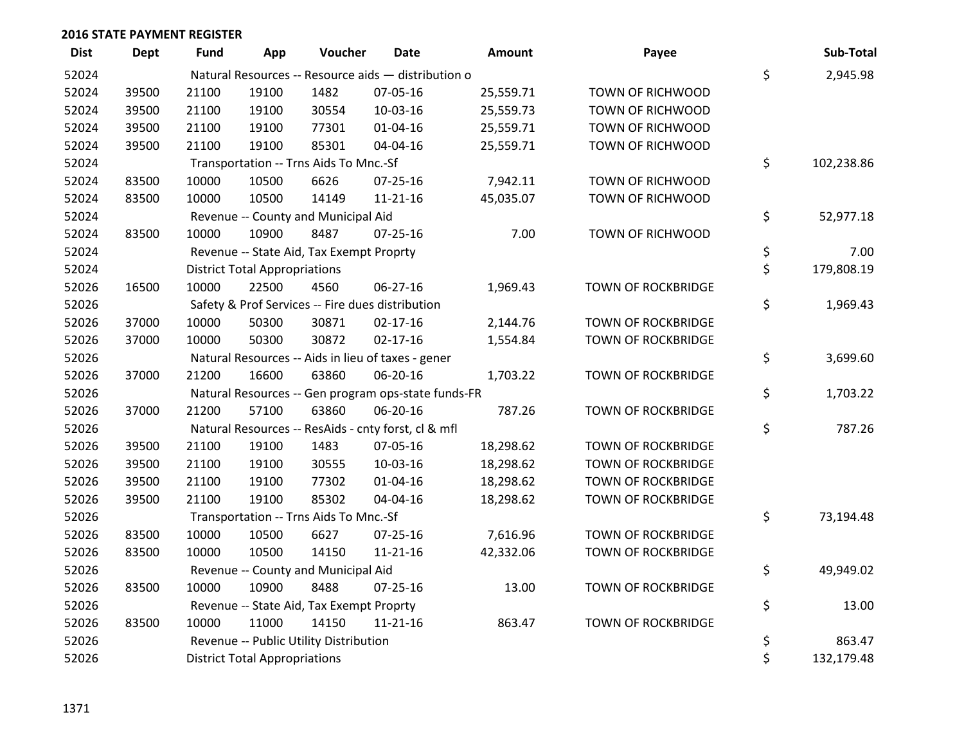| <b>Dist</b> | <b>Dept</b> | <b>Fund</b> | App                                  | Voucher                                  | Date                                                | <b>Amount</b> | Payee                     | Sub-Total        |
|-------------|-------------|-------------|--------------------------------------|------------------------------------------|-----------------------------------------------------|---------------|---------------------------|------------------|
| 52024       |             |             |                                      |                                          | Natural Resources -- Resource aids - distribution o |               |                           | \$<br>2,945.98   |
| 52024       | 39500       | 21100       | 19100                                | 1482                                     | 07-05-16                                            | 25,559.71     | TOWN OF RICHWOOD          |                  |
| 52024       | 39500       | 21100       | 19100                                | 30554                                    | 10-03-16                                            | 25,559.73     | TOWN OF RICHWOOD          |                  |
| 52024       | 39500       | 21100       | 19100                                | 77301                                    | $01 - 04 - 16$                                      | 25,559.71     | TOWN OF RICHWOOD          |                  |
| 52024       | 39500       | 21100       | 19100                                | 85301                                    | 04-04-16                                            | 25,559.71     | <b>TOWN OF RICHWOOD</b>   |                  |
| 52024       |             |             |                                      | Transportation -- Trns Aids To Mnc.-Sf   |                                                     |               |                           | \$<br>102,238.86 |
| 52024       | 83500       | 10000       | 10500                                | 6626                                     | 07-25-16                                            | 7,942.11      | TOWN OF RICHWOOD          |                  |
| 52024       | 83500       | 10000       | 10500                                | 14149                                    | $11 - 21 - 16$                                      | 45,035.07     | TOWN OF RICHWOOD          |                  |
| 52024       |             |             |                                      | Revenue -- County and Municipal Aid      |                                                     |               |                           | \$<br>52,977.18  |
| 52024       | 83500       | 10000       | 10900                                | 8487                                     | $07 - 25 - 16$                                      | 7.00          | TOWN OF RICHWOOD          |                  |
| 52024       |             |             |                                      | Revenue -- State Aid, Tax Exempt Proprty |                                                     |               |                           | \$<br>7.00       |
| 52024       |             |             | <b>District Total Appropriations</b> |                                          |                                                     |               |                           | \$<br>179,808.19 |
| 52026       | 16500       | 10000       | 22500                                | 4560                                     | 06-27-16                                            | 1,969.43      | <b>TOWN OF ROCKBRIDGE</b> |                  |
| 52026       |             |             |                                      |                                          | Safety & Prof Services -- Fire dues distribution    |               |                           | \$<br>1,969.43   |
| 52026       | 37000       | 10000       | 50300                                | 30871                                    | $02 - 17 - 16$                                      | 2,144.76      | TOWN OF ROCKBRIDGE        |                  |
| 52026       | 37000       | 10000       | 50300                                | 30872                                    | $02 - 17 - 16$                                      | 1,554.84      | <b>TOWN OF ROCKBRIDGE</b> |                  |
| 52026       |             |             |                                      |                                          | Natural Resources -- Aids in lieu of taxes - gener  |               |                           | \$<br>3,699.60   |
| 52026       | 37000       | 21200       | 16600                                | 63860                                    | 06-20-16                                            | 1,703.22      | <b>TOWN OF ROCKBRIDGE</b> |                  |
| 52026       |             |             |                                      |                                          | Natural Resources -- Gen program ops-state funds-FR |               |                           | \$<br>1,703.22   |
| 52026       | 37000       | 21200       | 57100                                | 63860                                    | 06-20-16                                            | 787.26        | <b>TOWN OF ROCKBRIDGE</b> |                  |
| 52026       |             |             |                                      |                                          | Natural Resources -- ResAids - cnty forst, cl & mfl |               |                           | \$<br>787.26     |
| 52026       | 39500       | 21100       | 19100                                | 1483                                     | 07-05-16                                            | 18,298.62     | TOWN OF ROCKBRIDGE        |                  |
| 52026       | 39500       | 21100       | 19100                                | 30555                                    | 10-03-16                                            | 18,298.62     | <b>TOWN OF ROCKBRIDGE</b> |                  |
| 52026       | 39500       | 21100       | 19100                                | 77302                                    | $01 - 04 - 16$                                      | 18,298.62     | <b>TOWN OF ROCKBRIDGE</b> |                  |
| 52026       | 39500       | 21100       | 19100                                | 85302                                    | 04-04-16                                            | 18,298.62     | <b>TOWN OF ROCKBRIDGE</b> |                  |
| 52026       |             |             |                                      | Transportation -- Trns Aids To Mnc.-Sf   |                                                     |               |                           | \$<br>73,194.48  |
| 52026       | 83500       | 10000       | 10500                                | 6627                                     | $07 - 25 - 16$                                      | 7,616.96      | TOWN OF ROCKBRIDGE        |                  |
| 52026       | 83500       | 10000       | 10500                                | 14150                                    | 11-21-16                                            | 42,332.06     | TOWN OF ROCKBRIDGE        |                  |
| 52026       |             |             |                                      | Revenue -- County and Municipal Aid      |                                                     |               |                           | \$<br>49,949.02  |
| 52026       | 83500       | 10000       | 10900                                | 8488                                     | $07 - 25 - 16$                                      | 13.00         | <b>TOWN OF ROCKBRIDGE</b> |                  |
| 52026       |             |             |                                      | Revenue -- State Aid, Tax Exempt Proprty |                                                     |               |                           | \$<br>13.00      |
| 52026       | 83500       | 10000       | 11000                                | 14150                                    | 11-21-16                                            | 863.47        | TOWN OF ROCKBRIDGE        |                  |
| 52026       |             |             |                                      | Revenue -- Public Utility Distribution   |                                                     |               |                           | \$<br>863.47     |
| 52026       |             |             | <b>District Total Appropriations</b> |                                          |                                                     |               |                           | \$<br>132,179.48 |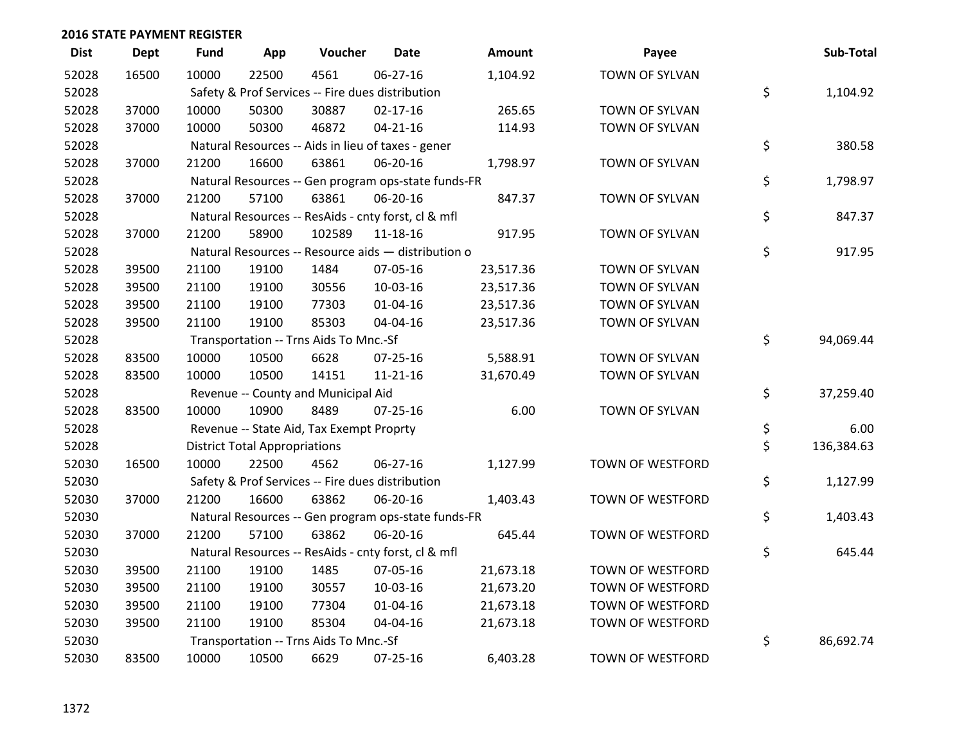| <b>Dist</b> | Dept  | <b>Fund</b> | App                                  | Voucher                                             | <b>Date</b>    | <b>Amount</b> | Payee                   | Sub-Total        |
|-------------|-------|-------------|--------------------------------------|-----------------------------------------------------|----------------|---------------|-------------------------|------------------|
| 52028       | 16500 | 10000       | 22500                                | 4561                                                | 06-27-16       | 1,104.92      | TOWN OF SYLVAN          |                  |
| 52028       |       |             |                                      | Safety & Prof Services -- Fire dues distribution    |                |               |                         | \$<br>1,104.92   |
| 52028       | 37000 | 10000       | 50300                                | 30887                                               | $02 - 17 - 16$ | 265.65        | TOWN OF SYLVAN          |                  |
| 52028       | 37000 | 10000       | 50300                                | 46872                                               | $04 - 21 - 16$ | 114.93        | TOWN OF SYLVAN          |                  |
| 52028       |       |             |                                      | Natural Resources -- Aids in lieu of taxes - gener  |                |               |                         | \$<br>380.58     |
| 52028       | 37000 | 21200       | 16600                                | 63861                                               | 06-20-16       | 1,798.97      | TOWN OF SYLVAN          |                  |
| 52028       |       |             |                                      | Natural Resources -- Gen program ops-state funds-FR |                |               |                         | \$<br>1,798.97   |
| 52028       | 37000 | 21200       | 57100                                | 63861                                               | 06-20-16       | 847.37        | TOWN OF SYLVAN          |                  |
| 52028       |       |             |                                      | Natural Resources -- ResAids - cnty forst, cl & mfl |                |               |                         | \$<br>847.37     |
| 52028       | 37000 | 21200       | 58900                                | 102589                                              | 11-18-16       | 917.95        | TOWN OF SYLVAN          |                  |
| 52028       |       |             |                                      | Natural Resources -- Resource aids - distribution o |                |               |                         | \$<br>917.95     |
| 52028       | 39500 | 21100       | 19100                                | 1484                                                | 07-05-16       | 23,517.36     | TOWN OF SYLVAN          |                  |
| 52028       | 39500 | 21100       | 19100                                | 30556                                               | 10-03-16       | 23,517.36     | TOWN OF SYLVAN          |                  |
| 52028       | 39500 | 21100       | 19100                                | 77303                                               | $01 - 04 - 16$ | 23,517.36     | TOWN OF SYLVAN          |                  |
| 52028       | 39500 | 21100       | 19100                                | 85303                                               | 04-04-16       | 23,517.36     | TOWN OF SYLVAN          |                  |
| 52028       |       |             |                                      | Transportation -- Trns Aids To Mnc.-Sf              |                |               |                         | \$<br>94,069.44  |
| 52028       | 83500 | 10000       | 10500                                | 6628                                                | 07-25-16       | 5,588.91      | TOWN OF SYLVAN          |                  |
| 52028       | 83500 | 10000       | 10500                                | 14151                                               | 11-21-16       | 31,670.49     | TOWN OF SYLVAN          |                  |
| 52028       |       |             |                                      | Revenue -- County and Municipal Aid                 |                |               |                         | \$<br>37,259.40  |
| 52028       | 83500 | 10000       | 10900                                | 8489                                                | $07 - 25 - 16$ | 6.00          | TOWN OF SYLVAN          |                  |
| 52028       |       |             |                                      | Revenue -- State Aid, Tax Exempt Proprty            |                |               |                         | \$<br>6.00       |
| 52028       |       |             | <b>District Total Appropriations</b> |                                                     |                |               |                         | \$<br>136,384.63 |
| 52030       | 16500 | 10000       | 22500                                | 4562                                                | 06-27-16       | 1,127.99      | TOWN OF WESTFORD        |                  |
| 52030       |       |             |                                      | Safety & Prof Services -- Fire dues distribution    |                |               |                         | \$<br>1,127.99   |
| 52030       | 37000 | 21200       | 16600                                | 63862                                               | 06-20-16       | 1,403.43      | TOWN OF WESTFORD        |                  |
| 52030       |       |             |                                      | Natural Resources -- Gen program ops-state funds-FR |                |               |                         | \$<br>1,403.43   |
| 52030       | 37000 | 21200       | 57100                                | 63862                                               | 06-20-16       | 645.44        | TOWN OF WESTFORD        |                  |
| 52030       |       |             |                                      | Natural Resources -- ResAids - cnty forst, cl & mfl |                |               |                         | \$<br>645.44     |
| 52030       | 39500 | 21100       | 19100                                | 1485                                                | 07-05-16       | 21,673.18     | TOWN OF WESTFORD        |                  |
| 52030       | 39500 | 21100       | 19100                                | 30557                                               | 10-03-16       | 21,673.20     | TOWN OF WESTFORD        |                  |
| 52030       | 39500 | 21100       | 19100                                | 77304                                               | $01 - 04 - 16$ | 21,673.18     | TOWN OF WESTFORD        |                  |
| 52030       | 39500 | 21100       | 19100                                | 85304                                               | 04-04-16       | 21,673.18     | TOWN OF WESTFORD        |                  |
| 52030       |       |             |                                      | Transportation -- Trns Aids To Mnc.-Sf              |                |               |                         | \$<br>86,692.74  |
| 52030       | 83500 | 10000       | 10500                                | 6629                                                | 07-25-16       | 6,403.28      | <b>TOWN OF WESTFORD</b> |                  |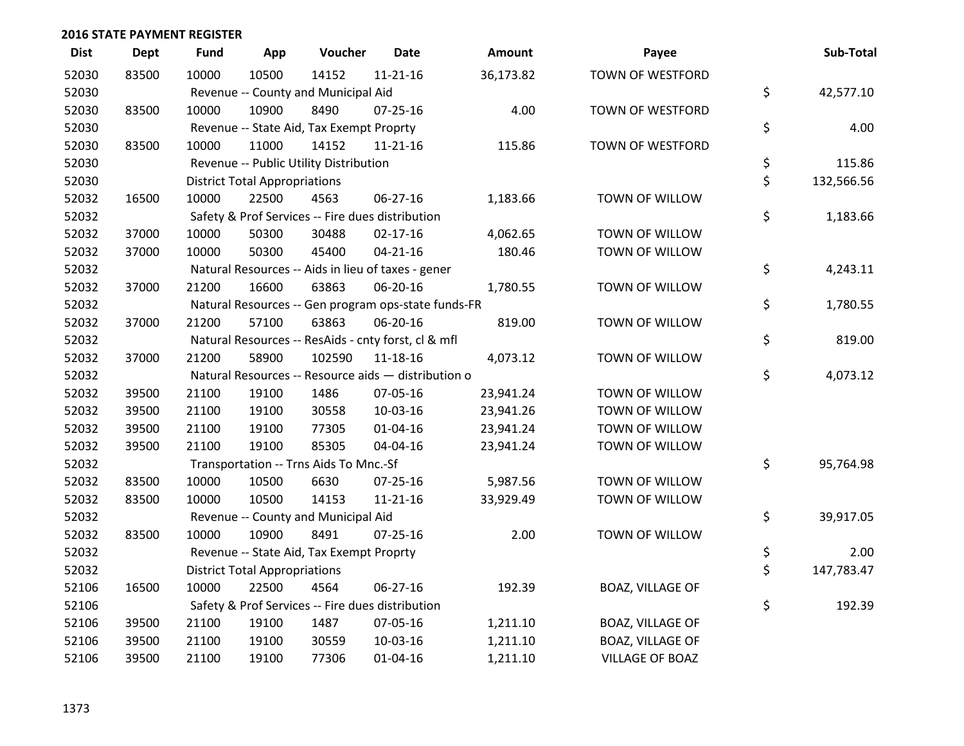| <b>Dist</b> | <b>Dept</b> | <b>Fund</b> | App                                  | Voucher                                             | <b>Date</b>    | <b>Amount</b> | Payee                   | Sub-Total        |
|-------------|-------------|-------------|--------------------------------------|-----------------------------------------------------|----------------|---------------|-------------------------|------------------|
| 52030       | 83500       | 10000       | 10500                                | 14152                                               | $11 - 21 - 16$ | 36,173.82     | <b>TOWN OF WESTFORD</b> |                  |
| 52030       |             |             |                                      | Revenue -- County and Municipal Aid                 |                |               |                         | \$<br>42,577.10  |
| 52030       | 83500       | 10000       | 10900                                | 8490                                                | $07 - 25 - 16$ | 4.00          | TOWN OF WESTFORD        |                  |
| 52030       |             |             |                                      | Revenue -- State Aid, Tax Exempt Proprty            |                |               |                         | \$<br>4.00       |
| 52030       | 83500       | 10000       | 11000                                | 14152                                               | 11-21-16       | 115.86        | TOWN OF WESTFORD        |                  |
| 52030       |             |             |                                      | Revenue -- Public Utility Distribution              |                |               |                         | \$<br>115.86     |
| 52030       |             |             | <b>District Total Appropriations</b> |                                                     |                |               |                         | \$<br>132,566.56 |
| 52032       | 16500       | 10000       | 22500                                | 4563                                                | 06-27-16       | 1,183.66      | TOWN OF WILLOW          |                  |
| 52032       |             |             |                                      | Safety & Prof Services -- Fire dues distribution    |                |               |                         | \$<br>1,183.66   |
| 52032       | 37000       | 10000       | 50300                                | 30488                                               | $02 - 17 - 16$ | 4,062.65      | TOWN OF WILLOW          |                  |
| 52032       | 37000       | 10000       | 50300                                | 45400                                               | $04 - 21 - 16$ | 180.46        | TOWN OF WILLOW          |                  |
| 52032       |             |             |                                      | Natural Resources -- Aids in lieu of taxes - gener  |                |               |                         | \$<br>4,243.11   |
| 52032       | 37000       | 21200       | 16600                                | 63863                                               | 06-20-16       | 1,780.55      | TOWN OF WILLOW          |                  |
| 52032       |             |             |                                      | Natural Resources -- Gen program ops-state funds-FR |                |               |                         | \$<br>1,780.55   |
| 52032       | 37000       | 21200       | 57100                                | 63863                                               | 06-20-16       | 819.00        | TOWN OF WILLOW          |                  |
| 52032       |             |             |                                      | Natural Resources -- ResAids - cnty forst, cl & mfl |                |               |                         | \$<br>819.00     |
| 52032       | 37000       | 21200       | 58900                                | 102590                                              | 11-18-16       | 4,073.12      | TOWN OF WILLOW          |                  |
| 52032       |             |             |                                      | Natural Resources -- Resource aids - distribution o |                |               |                         | \$<br>4,073.12   |
| 52032       | 39500       | 21100       | 19100                                | 1486                                                | 07-05-16       | 23,941.24     | TOWN OF WILLOW          |                  |
| 52032       | 39500       | 21100       | 19100                                | 30558                                               | 10-03-16       | 23,941.26     | TOWN OF WILLOW          |                  |
| 52032       | 39500       | 21100       | 19100                                | 77305                                               | 01-04-16       | 23,941.24     | TOWN OF WILLOW          |                  |
| 52032       | 39500       | 21100       | 19100                                | 85305                                               | 04-04-16       | 23,941.24     | TOWN OF WILLOW          |                  |
| 52032       |             |             |                                      | Transportation -- Trns Aids To Mnc.-Sf              |                |               |                         | \$<br>95,764.98  |
| 52032       | 83500       | 10000       | 10500                                | 6630                                                | $07 - 25 - 16$ | 5,987.56      | TOWN OF WILLOW          |                  |
| 52032       | 83500       | 10000       | 10500                                | 14153                                               | $11 - 21 - 16$ | 33,929.49     | TOWN OF WILLOW          |                  |
| 52032       |             |             |                                      | Revenue -- County and Municipal Aid                 |                |               |                         | \$<br>39,917.05  |
| 52032       | 83500       | 10000       | 10900                                | 8491                                                | $07 - 25 - 16$ | 2.00          | TOWN OF WILLOW          |                  |
| 52032       |             |             |                                      | Revenue -- State Aid, Tax Exempt Proprty            |                |               |                         | \$<br>2.00       |
| 52032       |             |             | <b>District Total Appropriations</b> |                                                     |                |               |                         | \$<br>147,783.47 |
| 52106       | 16500       | 10000       | 22500                                | 4564                                                | 06-27-16       | 192.39        | <b>BOAZ, VILLAGE OF</b> |                  |
| 52106       |             |             |                                      | Safety & Prof Services -- Fire dues distribution    |                |               |                         | \$<br>192.39     |
| 52106       | 39500       | 21100       | 19100                                | 1487                                                | 07-05-16       | 1,211.10      | BOAZ, VILLAGE OF        |                  |
| 52106       | 39500       | 21100       | 19100                                | 30559                                               | 10-03-16       | 1,211.10      | <b>BOAZ, VILLAGE OF</b> |                  |
| 52106       | 39500       | 21100       | 19100                                | 77306                                               | 01-04-16       | 1,211.10      | <b>VILLAGE OF BOAZ</b>  |                  |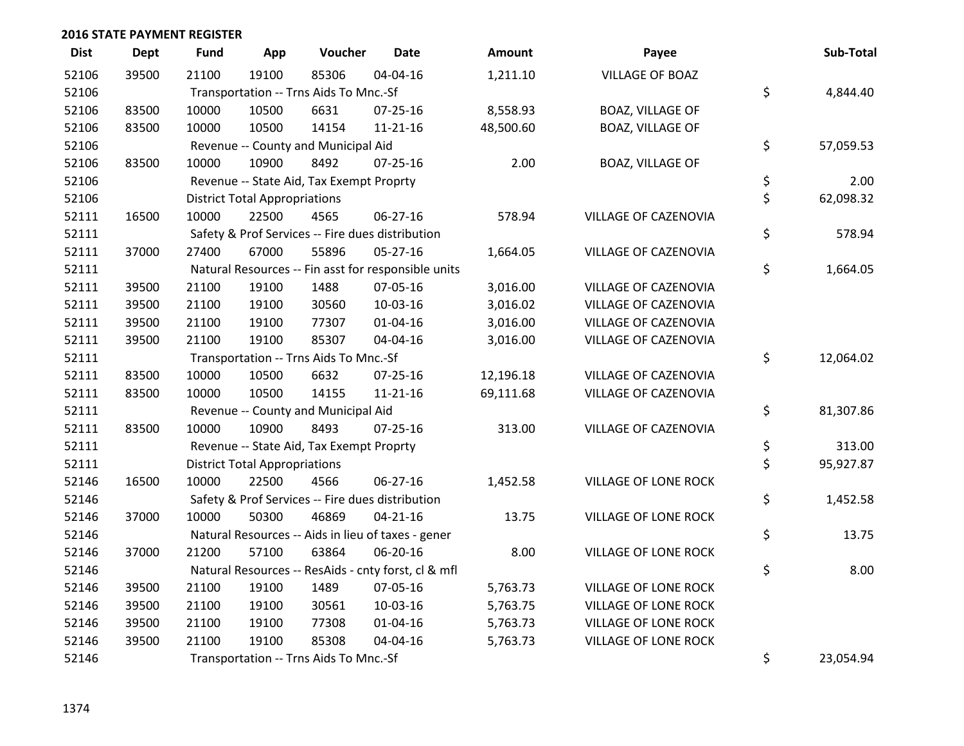| <b>Dist</b> | <b>Dept</b> | <b>Fund</b> | App                                  | Voucher                                  | <b>Date</b>                                         | <b>Amount</b> | Payee                       | Sub-Total       |
|-------------|-------------|-------------|--------------------------------------|------------------------------------------|-----------------------------------------------------|---------------|-----------------------------|-----------------|
| 52106       | 39500       | 21100       | 19100                                | 85306                                    | 04-04-16                                            | 1,211.10      | <b>VILLAGE OF BOAZ</b>      |                 |
| 52106       |             |             |                                      | Transportation -- Trns Aids To Mnc.-Sf   |                                                     |               |                             | \$<br>4,844.40  |
| 52106       | 83500       | 10000       | 10500                                | 6631                                     | 07-25-16                                            | 8,558.93      | <b>BOAZ, VILLAGE OF</b>     |                 |
| 52106       | 83500       | 10000       | 10500                                | 14154                                    | $11 - 21 - 16$                                      | 48,500.60     | <b>BOAZ, VILLAGE OF</b>     |                 |
| 52106       |             |             |                                      | Revenue -- County and Municipal Aid      |                                                     |               |                             | \$<br>57,059.53 |
| 52106       | 83500       | 10000       | 10900                                | 8492                                     | $07 - 25 - 16$                                      | 2.00          | <b>BOAZ, VILLAGE OF</b>     |                 |
| 52106       |             |             |                                      | Revenue -- State Aid, Tax Exempt Proprty |                                                     |               |                             | \$<br>2.00      |
| 52106       |             |             | <b>District Total Appropriations</b> |                                          |                                                     |               |                             | \$<br>62,098.32 |
| 52111       | 16500       | 10000       | 22500                                | 4565                                     | 06-27-16                                            | 578.94        | VILLAGE OF CAZENOVIA        |                 |
| 52111       |             |             |                                      |                                          | Safety & Prof Services -- Fire dues distribution    |               |                             | \$<br>578.94    |
| 52111       | 37000       | 27400       | 67000                                | 55896                                    | 05-27-16                                            | 1,664.05      | VILLAGE OF CAZENOVIA        |                 |
| 52111       |             |             |                                      |                                          | Natural Resources -- Fin asst for responsible units |               |                             | \$<br>1,664.05  |
| 52111       | 39500       | 21100       | 19100                                | 1488                                     | 07-05-16                                            | 3,016.00      | VILLAGE OF CAZENOVIA        |                 |
| 52111       | 39500       | 21100       | 19100                                | 30560                                    | 10-03-16                                            | 3,016.02      | VILLAGE OF CAZENOVIA        |                 |
| 52111       | 39500       | 21100       | 19100                                | 77307                                    | $01 - 04 - 16$                                      | 3,016.00      | VILLAGE OF CAZENOVIA        |                 |
| 52111       | 39500       | 21100       | 19100                                | 85307                                    | 04-04-16                                            | 3,016.00      | VILLAGE OF CAZENOVIA        |                 |
| 52111       |             |             |                                      | Transportation -- Trns Aids To Mnc.-Sf   |                                                     |               |                             | \$<br>12,064.02 |
| 52111       | 83500       | 10000       | 10500                                | 6632                                     | 07-25-16                                            | 12,196.18     | VILLAGE OF CAZENOVIA        |                 |
| 52111       | 83500       | 10000       | 10500                                | 14155                                    | $11 - 21 - 16$                                      | 69,111.68     | VILLAGE OF CAZENOVIA        |                 |
| 52111       |             |             |                                      | Revenue -- County and Municipal Aid      |                                                     |               |                             | \$<br>81,307.86 |
| 52111       | 83500       | 10000       | 10900                                | 8493                                     | $07 - 25 - 16$                                      | 313.00        | VILLAGE OF CAZENOVIA        |                 |
| 52111       |             |             |                                      | Revenue -- State Aid, Tax Exempt Proprty |                                                     |               |                             | \$<br>313.00    |
| 52111       |             |             | <b>District Total Appropriations</b> |                                          |                                                     |               |                             | \$<br>95,927.87 |
| 52146       | 16500       | 10000       | 22500                                | 4566                                     | 06-27-16                                            | 1,452.58      | VILLAGE OF LONE ROCK        |                 |
| 52146       |             |             |                                      |                                          | Safety & Prof Services -- Fire dues distribution    |               |                             | \$<br>1,452.58  |
| 52146       | 37000       | 10000       | 50300                                | 46869                                    | $04 - 21 - 16$                                      | 13.75         | VILLAGE OF LONE ROCK        |                 |
| 52146       |             |             |                                      |                                          | Natural Resources -- Aids in lieu of taxes - gener  |               |                             | \$<br>13.75     |
| 52146       | 37000       | 21200       | 57100                                | 63864                                    | 06-20-16                                            | 8.00          | VILLAGE OF LONE ROCK        |                 |
| 52146       |             |             |                                      |                                          | Natural Resources -- ResAids - cnty forst, cl & mfl |               |                             | \$<br>8.00      |
| 52146       | 39500       | 21100       | 19100                                | 1489                                     | 07-05-16                                            | 5,763.73      | <b>VILLAGE OF LONE ROCK</b> |                 |
| 52146       | 39500       | 21100       | 19100                                | 30561                                    | 10-03-16                                            | 5,763.75      | VILLAGE OF LONE ROCK        |                 |
| 52146       | 39500       | 21100       | 19100                                | 77308                                    | $01 - 04 - 16$                                      | 5,763.73      | VILLAGE OF LONE ROCK        |                 |
| 52146       | 39500       | 21100       | 19100                                | 85308                                    | 04-04-16                                            | 5,763.73      | VILLAGE OF LONE ROCK        |                 |
| 52146       |             |             |                                      | Transportation -- Trns Aids To Mnc.-Sf   |                                                     |               |                             | \$<br>23,054.94 |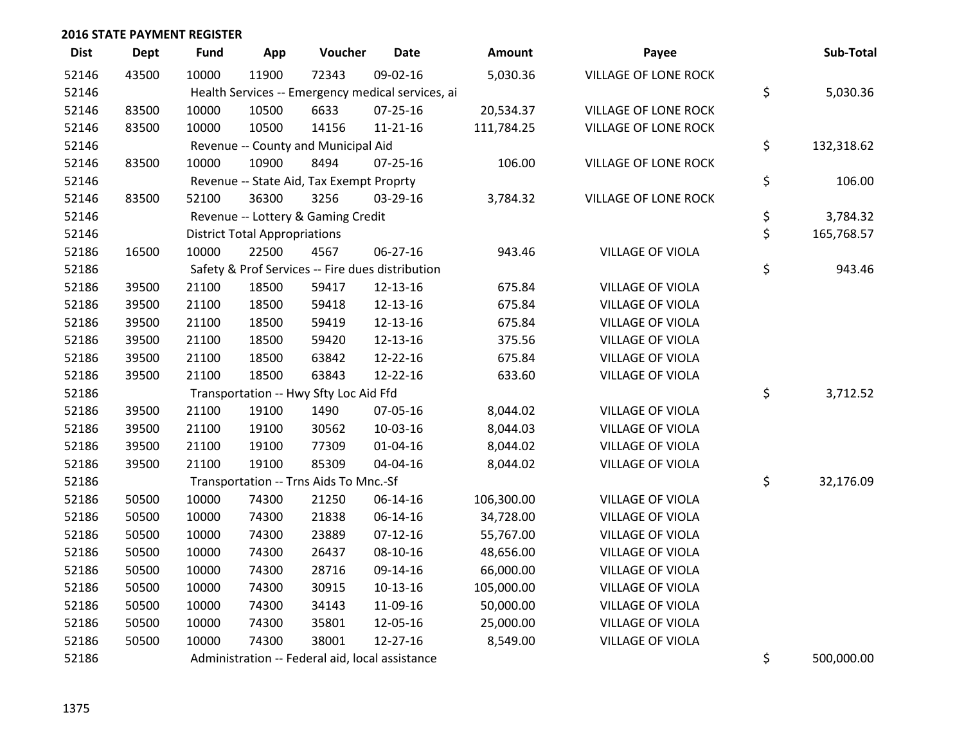| <b>Dist</b> | <b>Dept</b> | <b>Fund</b> | App                                  | Voucher                                           | <b>Date</b>    | Amount     | Payee                       | Sub-Total        |
|-------------|-------------|-------------|--------------------------------------|---------------------------------------------------|----------------|------------|-----------------------------|------------------|
| 52146       | 43500       | 10000       | 11900                                | 72343                                             | 09-02-16       | 5,030.36   | <b>VILLAGE OF LONE ROCK</b> |                  |
| 52146       |             |             |                                      | Health Services -- Emergency medical services, ai |                |            |                             | \$<br>5,030.36   |
| 52146       | 83500       | 10000       | 10500                                | 6633                                              | $07 - 25 - 16$ | 20,534.37  | <b>VILLAGE OF LONE ROCK</b> |                  |
| 52146       | 83500       | 10000       | 10500                                | 14156                                             | $11 - 21 - 16$ | 111,784.25 | <b>VILLAGE OF LONE ROCK</b> |                  |
| 52146       |             |             |                                      | Revenue -- County and Municipal Aid               |                |            |                             | \$<br>132,318.62 |
| 52146       | 83500       | 10000       | 10900                                | 8494                                              | 07-25-16       | 106.00     | VILLAGE OF LONE ROCK        |                  |
| 52146       |             |             |                                      | Revenue -- State Aid, Tax Exempt Proprty          |                |            |                             | \$<br>106.00     |
| 52146       | 83500       | 52100       | 36300                                | 3256                                              | 03-29-16       | 3,784.32   | <b>VILLAGE OF LONE ROCK</b> |                  |
| 52146       |             |             |                                      | Revenue -- Lottery & Gaming Credit                |                |            |                             | \$<br>3,784.32   |
| 52146       |             |             | <b>District Total Appropriations</b> |                                                   |                |            |                             | \$<br>165,768.57 |
| 52186       | 16500       | 10000       | 22500                                | 4567                                              | 06-27-16       | 943.46     | <b>VILLAGE OF VIOLA</b>     |                  |
| 52186       |             |             |                                      | Safety & Prof Services -- Fire dues distribution  |                |            |                             | \$<br>943.46     |
| 52186       | 39500       | 21100       | 18500                                | 59417                                             | 12-13-16       | 675.84     | <b>VILLAGE OF VIOLA</b>     |                  |
| 52186       | 39500       | 21100       | 18500                                | 59418                                             | 12-13-16       | 675.84     | <b>VILLAGE OF VIOLA</b>     |                  |
| 52186       | 39500       | 21100       | 18500                                | 59419                                             | 12-13-16       | 675.84     | <b>VILLAGE OF VIOLA</b>     |                  |
| 52186       | 39500       | 21100       | 18500                                | 59420                                             | 12-13-16       | 375.56     | <b>VILLAGE OF VIOLA</b>     |                  |
| 52186       | 39500       | 21100       | 18500                                | 63842                                             | 12-22-16       | 675.84     | VILLAGE OF VIOLA            |                  |
| 52186       | 39500       | 21100       | 18500                                | 63843                                             | 12-22-16       | 633.60     | <b>VILLAGE OF VIOLA</b>     |                  |
| 52186       |             |             |                                      | Transportation -- Hwy Sfty Loc Aid Ffd            |                |            |                             | \$<br>3,712.52   |
| 52186       | 39500       | 21100       | 19100                                | 1490                                              | 07-05-16       | 8,044.02   | VILLAGE OF VIOLA            |                  |
| 52186       | 39500       | 21100       | 19100                                | 30562                                             | 10-03-16       | 8,044.03   | <b>VILLAGE OF VIOLA</b>     |                  |
| 52186       | 39500       | 21100       | 19100                                | 77309                                             | $01 - 04 - 16$ | 8,044.02   | VILLAGE OF VIOLA            |                  |
| 52186       | 39500       | 21100       | 19100                                | 85309                                             | 04-04-16       | 8,044.02   | VILLAGE OF VIOLA            |                  |
| 52186       |             |             |                                      | Transportation -- Trns Aids To Mnc.-Sf            |                |            |                             | \$<br>32,176.09  |
| 52186       | 50500       | 10000       | 74300                                | 21250                                             | 06-14-16       | 106,300.00 | <b>VILLAGE OF VIOLA</b>     |                  |
| 52186       | 50500       | 10000       | 74300                                | 21838                                             | 06-14-16       | 34,728.00  | <b>VILLAGE OF VIOLA</b>     |                  |
| 52186       | 50500       | 10000       | 74300                                | 23889                                             | $07-12-16$     | 55,767.00  | <b>VILLAGE OF VIOLA</b>     |                  |
| 52186       | 50500       | 10000       | 74300                                | 26437                                             | 08-10-16       | 48,656.00  | <b>VILLAGE OF VIOLA</b>     |                  |
| 52186       | 50500       | 10000       | 74300                                | 28716                                             | 09-14-16       | 66,000.00  | <b>VILLAGE OF VIOLA</b>     |                  |
| 52186       | 50500       | 10000       | 74300                                | 30915                                             | 10-13-16       | 105,000.00 | <b>VILLAGE OF VIOLA</b>     |                  |
| 52186       | 50500       | 10000       | 74300                                | 34143                                             | 11-09-16       | 50,000.00  | <b>VILLAGE OF VIOLA</b>     |                  |
| 52186       | 50500       | 10000       | 74300                                | 35801                                             | 12-05-16       | 25,000.00  | <b>VILLAGE OF VIOLA</b>     |                  |
| 52186       | 50500       | 10000       | 74300                                | 38001                                             | 12-27-16       | 8,549.00   | <b>VILLAGE OF VIOLA</b>     |                  |
| 52186       |             |             |                                      | Administration -- Federal aid, local assistance   |                |            |                             | \$<br>500,000.00 |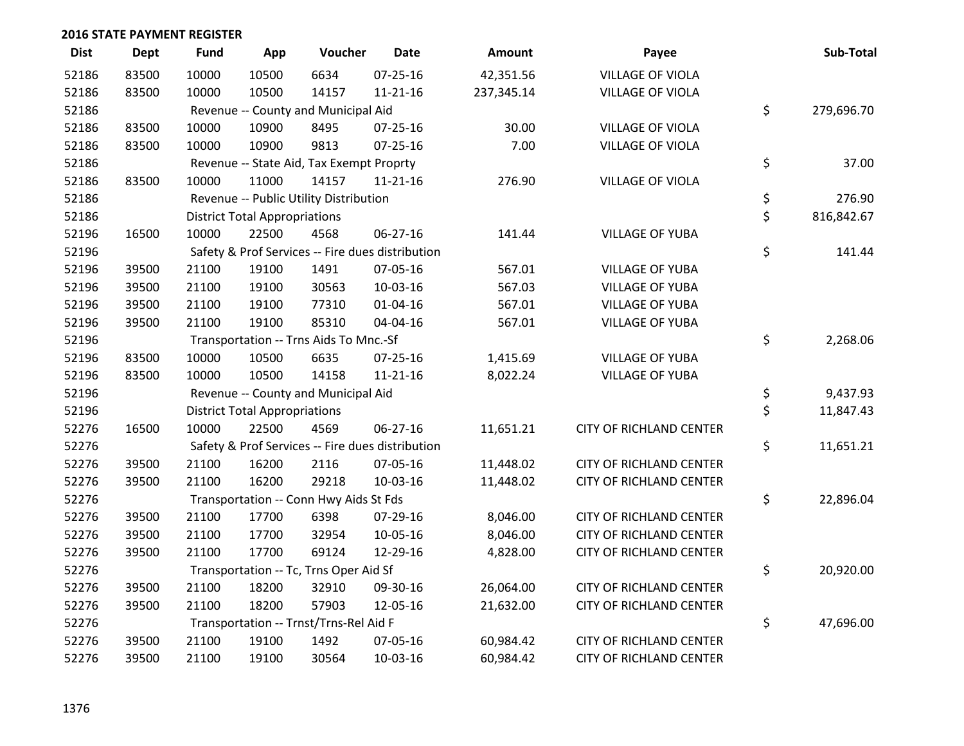| <b>Dist</b> | <b>Dept</b> | <b>Fund</b> | App                                  | Voucher                                  | <b>Date</b>                                      | Amount     | Payee                          | Sub-Total        |
|-------------|-------------|-------------|--------------------------------------|------------------------------------------|--------------------------------------------------|------------|--------------------------------|------------------|
| 52186       | 83500       | 10000       | 10500                                | 6634                                     | $07 - 25 - 16$                                   | 42,351.56  | <b>VILLAGE OF VIOLA</b>        |                  |
| 52186       | 83500       | 10000       | 10500                                | 14157                                    | $11 - 21 - 16$                                   | 237,345.14 | <b>VILLAGE OF VIOLA</b>        |                  |
| 52186       |             |             |                                      | Revenue -- County and Municipal Aid      |                                                  |            |                                | \$<br>279,696.70 |
| 52186       | 83500       | 10000       | 10900                                | 8495                                     | $07 - 25 - 16$                                   | 30.00      | <b>VILLAGE OF VIOLA</b>        |                  |
| 52186       | 83500       | 10000       | 10900                                | 9813                                     | $07 - 25 - 16$                                   | 7.00       | <b>VILLAGE OF VIOLA</b>        |                  |
| 52186       |             |             |                                      | Revenue -- State Aid, Tax Exempt Proprty |                                                  |            |                                | \$<br>37.00      |
| 52186       | 83500       | 10000       | 11000                                | 14157                                    | $11 - 21 - 16$                                   | 276.90     | <b>VILLAGE OF VIOLA</b>        |                  |
| 52186       |             |             |                                      | Revenue -- Public Utility Distribution   |                                                  |            |                                | \$<br>276.90     |
| 52186       |             |             | <b>District Total Appropriations</b> |                                          |                                                  |            |                                | \$<br>816,842.67 |
| 52196       | 16500       | 10000       | 22500                                | 4568                                     | $06 - 27 - 16$                                   | 141.44     | <b>VILLAGE OF YUBA</b>         |                  |
| 52196       |             |             |                                      |                                          | Safety & Prof Services -- Fire dues distribution |            |                                | \$<br>141.44     |
| 52196       | 39500       | 21100       | 19100                                | 1491                                     | 07-05-16                                         | 567.01     | <b>VILLAGE OF YUBA</b>         |                  |
| 52196       | 39500       | 21100       | 19100                                | 30563                                    | 10-03-16                                         | 567.03     | <b>VILLAGE OF YUBA</b>         |                  |
| 52196       | 39500       | 21100       | 19100                                | 77310                                    | $01 - 04 - 16$                                   | 567.01     | <b>VILLAGE OF YUBA</b>         |                  |
| 52196       | 39500       | 21100       | 19100                                | 85310                                    | 04-04-16                                         | 567.01     | <b>VILLAGE OF YUBA</b>         |                  |
| 52196       |             |             |                                      | Transportation -- Trns Aids To Mnc.-Sf   |                                                  |            |                                | \$<br>2,268.06   |
| 52196       | 83500       | 10000       | 10500                                | 6635                                     | $07 - 25 - 16$                                   | 1,415.69   | <b>VILLAGE OF YUBA</b>         |                  |
| 52196       | 83500       | 10000       | 10500                                | 14158                                    | $11 - 21 - 16$                                   | 8,022.24   | <b>VILLAGE OF YUBA</b>         |                  |
| 52196       |             |             |                                      | Revenue -- County and Municipal Aid      |                                                  |            |                                | \$<br>9,437.93   |
| 52196       |             |             | <b>District Total Appropriations</b> |                                          |                                                  |            |                                | \$<br>11,847.43  |
| 52276       | 16500       | 10000       | 22500                                | 4569                                     | $06 - 27 - 16$                                   | 11,651.21  | <b>CITY OF RICHLAND CENTER</b> |                  |
| 52276       |             |             |                                      |                                          | Safety & Prof Services -- Fire dues distribution |            |                                | \$<br>11,651.21  |
| 52276       | 39500       | 21100       | 16200                                | 2116                                     | 07-05-16                                         | 11,448.02  | <b>CITY OF RICHLAND CENTER</b> |                  |
| 52276       | 39500       | 21100       | 16200                                | 29218                                    | 10-03-16                                         | 11,448.02  | CITY OF RICHLAND CENTER        |                  |
| 52276       |             |             |                                      | Transportation -- Conn Hwy Aids St Fds   |                                                  |            |                                | \$<br>22,896.04  |
| 52276       | 39500       | 21100       | 17700                                | 6398                                     | 07-29-16                                         | 8,046.00   | <b>CITY OF RICHLAND CENTER</b> |                  |
| 52276       | 39500       | 21100       | 17700                                | 32954                                    | 10-05-16                                         | 8,046.00   | <b>CITY OF RICHLAND CENTER</b> |                  |
| 52276       | 39500       | 21100       | 17700                                | 69124                                    | 12-29-16                                         | 4,828.00   | <b>CITY OF RICHLAND CENTER</b> |                  |
| 52276       |             |             |                                      | Transportation -- Tc, Trns Oper Aid Sf   |                                                  |            |                                | \$<br>20,920.00  |
| 52276       | 39500       | 21100       | 18200                                | 32910                                    | 09-30-16                                         | 26,064.00  | <b>CITY OF RICHLAND CENTER</b> |                  |
| 52276       | 39500       | 21100       | 18200                                | 57903                                    | 12-05-16                                         | 21,632.00  | <b>CITY OF RICHLAND CENTER</b> |                  |
| 52276       |             |             |                                      | Transportation -- Trnst/Trns-Rel Aid F   |                                                  |            |                                | \$<br>47,696.00  |
| 52276       | 39500       | 21100       | 19100                                | 1492                                     | 07-05-16                                         | 60,984.42  | <b>CITY OF RICHLAND CENTER</b> |                  |
| 52276       | 39500       | 21100       | 19100                                | 30564                                    | 10-03-16                                         | 60,984.42  | <b>CITY OF RICHLAND CENTER</b> |                  |